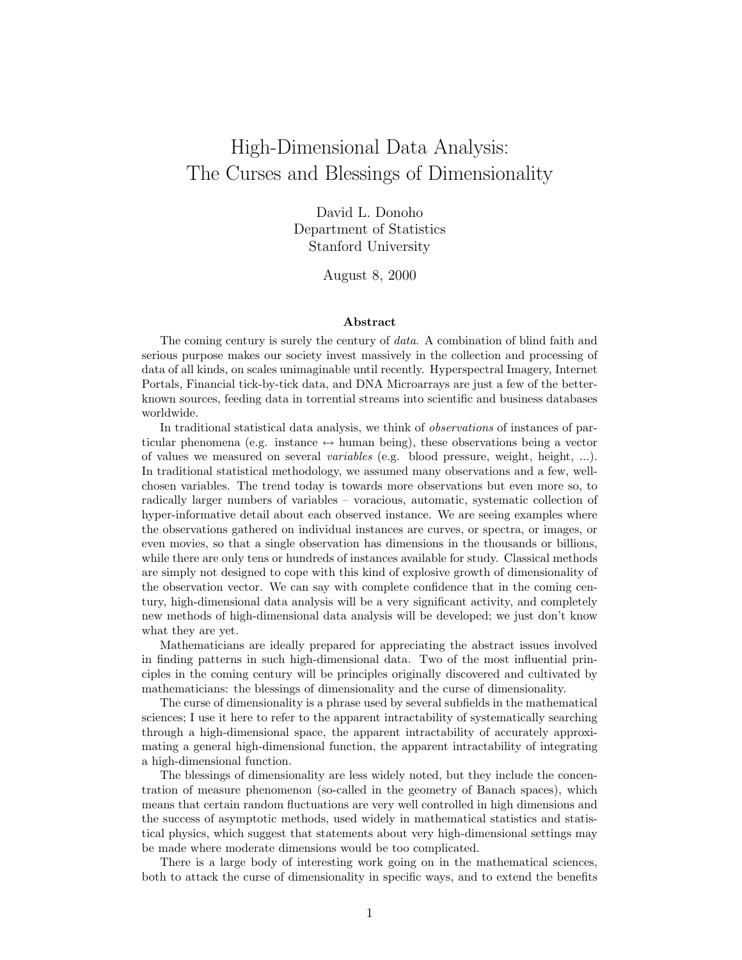# High-Dimensional Data Analysis: The Curses and Blessings of Dimensionality

David L. Donoho Department of Statistics Stanford University

August 8, 2000

#### **Abstract**

The coming century is surely the century of data. A combination of blind faith and serious purpose makes our society invest massively in the collection and processing of data of all kinds, on scales unimaginable until recently. Hyperspectral Imagery, Internet Portals, Financial tick-by-tick data, and DNA Microarrays are just a few of the betterknown sources, feeding data in torrential streams into scientific and business databases worldwide.

In traditional statistical data analysis, we think of *observations* of instances of particular phenomena (e.g. instance  $\leftrightarrow$  human being), these observations being a vector of values we measured on several variables (e.g. blood pressure, weight, height, ...). In traditional statistical methodology, we assumed many observations and a few, wellchosen variables. The trend today is towards more observations but even more so, to radically larger numbers of variables – voracious, automatic, systematic collection of hyper-informative detail about each observed instance. We are seeing examples where the observations gathered on individual instances are curves, or spectra, or images, or even movies, so that a single observation has dimensions in the thousands or billions, while there are only tens or hundreds of instances available for study. Classical methods are simply not designed to cope with this kind of explosive growth of dimensionality of the observation vector. We can say with complete confidence that in the coming century, high-dimensional data analysis will be a very significant activity, and completely new methods of high-dimensional data analysis will be developed; we just don't know what they are yet.

Mathematicians are ideally prepared for appreciating the abstract issues involved in finding patterns in such high-dimensional data. Two of the most influential principles in the coming century will be principles originally discovered and cultivated by mathematicians: the blessings of dimensionality and the curse of dimensionality.

The curse of dimensionality is a phrase used by several subfields in the mathematical sciences; I use it here to refer to the apparent intractability of systematically searching through a high-dimensional space, the apparent intractability of accurately approximating a general high-dimensional function, the apparent intractability of integrating a high-dimensional function.

The blessings of dimensionality are less widely noted, but they include the concentration of measure phenomenon (so-called in the geometry of Banach spaces), which means that certain random fluctuations are very well controlled in high dimensions and the success of asymptotic methods, used widely in mathematical statistics and statistical physics, which suggest that statements about very high-dimensional settings may be made where moderate dimensions would be too complicated.

There is a large body of interesting work going on in the mathematical sciences, both to attack the curse of dimensionality in specific ways, and to extend the benefits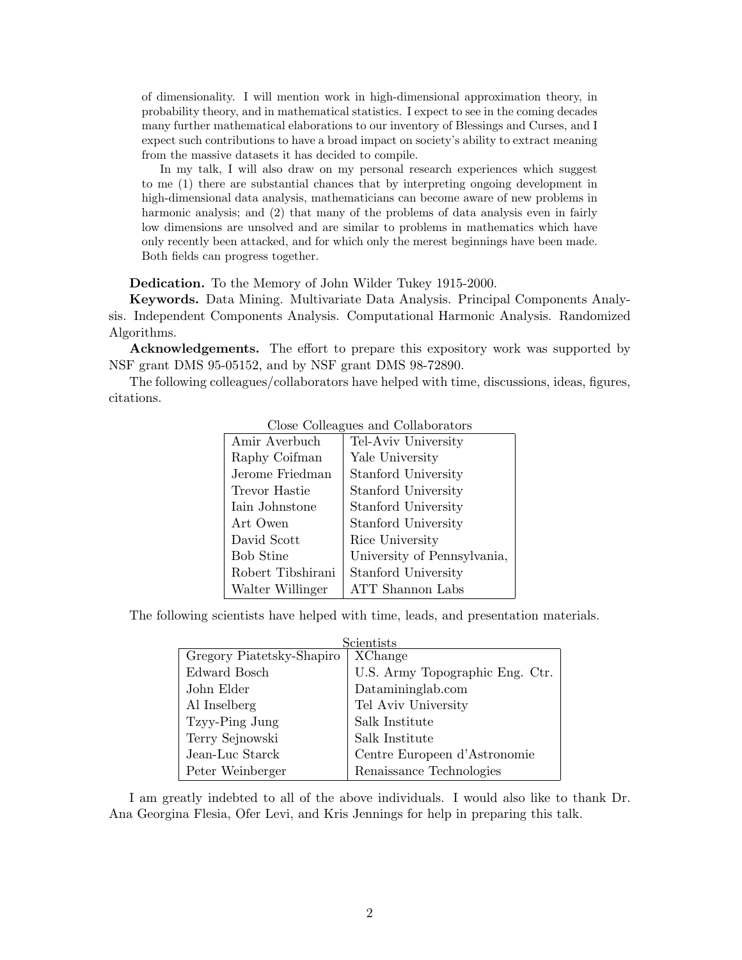of dimensionality. I will mention work in high-dimensional approximation theory, in probability theory, and in mathematical statistics. I expect to see in the coming decades many further mathematical elaborations to our inventory of Blessings and Curses, and I expect such contributions to have a broad impact on society's ability to extract meaning from the massive datasets it has decided to compile.

In my talk, I will also draw on my personal research experiences which suggest to me (1) there are substantial chances that by interpreting ongoing development in high-dimensional data analysis, mathematicians can become aware of new problems in harmonic analysis; and (2) that many of the problems of data analysis even in fairly low dimensions are unsolved and are similar to problems in mathematics which have only recently been attacked, and for which only the merest beginnings have been made. Both fields can progress together.

**Dedication.** To the Memory of John Wilder Tukey 1915-2000.

**Keywords.** Data Mining. Multivariate Data Analysis. Principal Components Analysis. Independent Components Analysis. Computational Harmonic Analysis. Randomized Algorithms.

**Acknowledgements.** The effort to prepare this expository work was supported by NSF grant DMS 95-05152, and by NSF grant DMS 98-72890.

The following colleagues/collaborators have helped with time, discussions, ideas, figures, citations.

| Amir Averbuch     | Tel-Aviv University         |
|-------------------|-----------------------------|
| Raphy Coifman     | Yale University             |
| Jerome Friedman   | Stanford University         |
| Trevor Hastie     | Stanford University         |
| Iain Johnstone    | Stanford University         |
| Art Owen          | Stanford University         |
| David Scott       | Rice University             |
| <b>Bob Stine</b>  | University of Pennsylvania, |
| Robert Tibshirani | Stanford University         |
| Walter Willinger  | <b>ATT</b> Shannon Labs     |
|                   |                             |

#### Close Colleagues and Collaborators

The following scientists have helped with time, leads, and presentation materials.

| Scientists                |                                 |
|---------------------------|---------------------------------|
| Gregory Piatetsky-Shapiro | XChange                         |
| Edward Bosch              | U.S. Army Topographic Eng. Ctr. |
| John Elder                | Datamininglab.com               |
| Al Inselberg              | Tel Aviv University             |
| Tzyy-Ping Jung            | Salk Institute                  |
| Terry Sejnowski           | Salk Institute                  |
| Jean-Luc Starck           | Centre Europeen d'Astronomie    |
| Peter Weinberger          | Renaissance Technologies        |

I am greatly indebted to all of the above individuals. I would also like to thank Dr. Ana Georgina Flesia, Ofer Levi, and Kris Jennings for help in preparing this talk.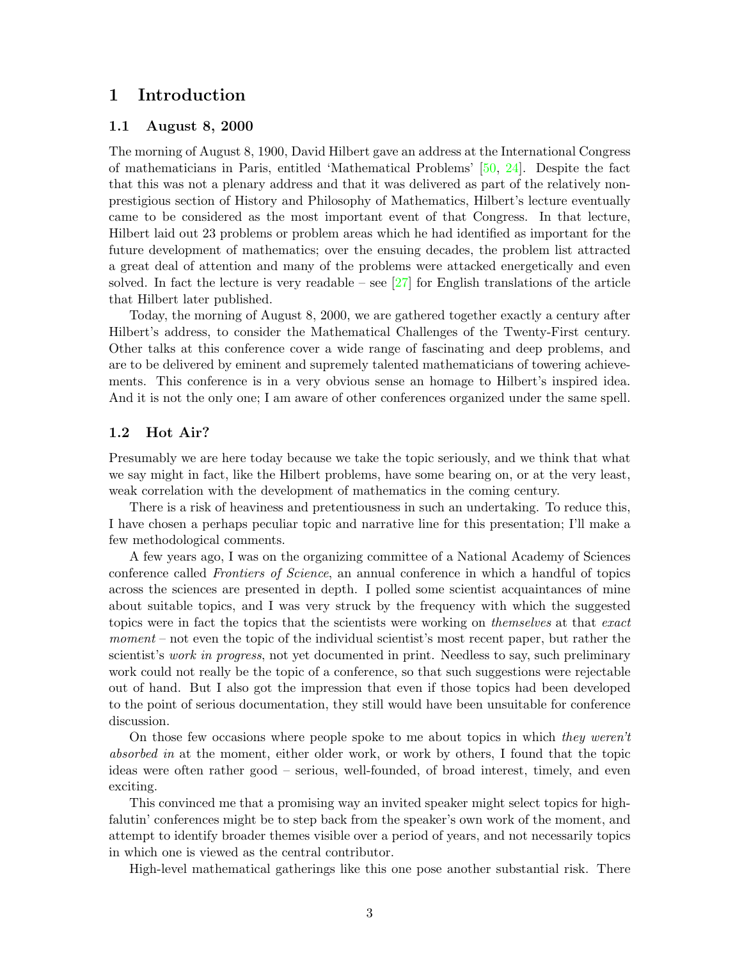# **1 Introduction**

## **1.1 August 8, 2000**

The morning of August 8, 1900, David Hilbert gave an address at the International Congress of mathematicians in Paris, entitled 'Mathematical Problems' [\[50,](#page-31-0) [24\]](#page-30-0). Despite the fact that this was not a plenary address and that it was delivered as part of the relatively nonprestigious section of History and Philosophy of Mathematics, Hilbert's lecture eventually came to be considered as the most important event of that Congress. In that lecture, Hilbert laid out 23 problems or problem areas which he had identified as important for the future development of mathematics; over the ensuing decades, the problem list attracted a great deal of attention and many of the problems were attacked energetically and even solved. In fact the lecture is very readable – see  $[27]$  for English translations of the article that Hilbert later published.

Today, the morning of August 8, 2000, we are gathered together exactly a century after Hilbert's address, to consider the Mathematical Challenges of the Twenty-First century. Other talks at this conference cover a wide range of fascinating and deep problems, and are to be delivered by eminent and supremely talented mathematicians of towering achievements. This conference is in a very obvious sense an homage to Hilbert's inspired idea. And it is not the only one; I am aware of other conferences organized under the same spell.

### **1.2 Hot Air?**

Presumably we are here today because we take the topic seriously, and we think that what we say might in fact, like the Hilbert problems, have some bearing on, or at the very least, weak correlation with the development of mathematics in the coming century.

There is a risk of heaviness and pretentiousness in such an undertaking. To reduce this, I have chosen a perhaps peculiar topic and narrative line for this presentation; I'll make a few methodological comments.

A few years ago, I was on the organizing committee of a National Academy of Sciences conference called Frontiers of Science, an annual conference in which a handful of topics across the sciences are presented in depth. I polled some scientist acquaintances of mine about suitable topics, and I was very struck by the frequency with which the suggested topics were in fact the topics that the scientists were working on *themselves* at that exact moment – not even the topic of the individual scientist's most recent paper, but rather the scientist's *work in progress*, not yet documented in print. Needless to say, such preliminary work could not really be the topic of a conference, so that such suggestions were rejectable out of hand. But I also got the impression that even if those topics had been developed to the point of serious documentation, they still would have been unsuitable for conference discussion.

On those few occasions where people spoke to me about topics in which they weren't absorbed in at the moment, either older work, or work by others, I found that the topic ideas were often rather good – serious, well-founded, of broad interest, timely, and even exciting.

This convinced me that a promising way an invited speaker might select topics for highfalutin' conferences might be to step back from the speaker's own work of the moment, and attempt to identify broader themes visible over a period of years, and not necessarily topics in which one is viewed as the central contributor.

High-level mathematical gatherings like this one pose another substantial risk. There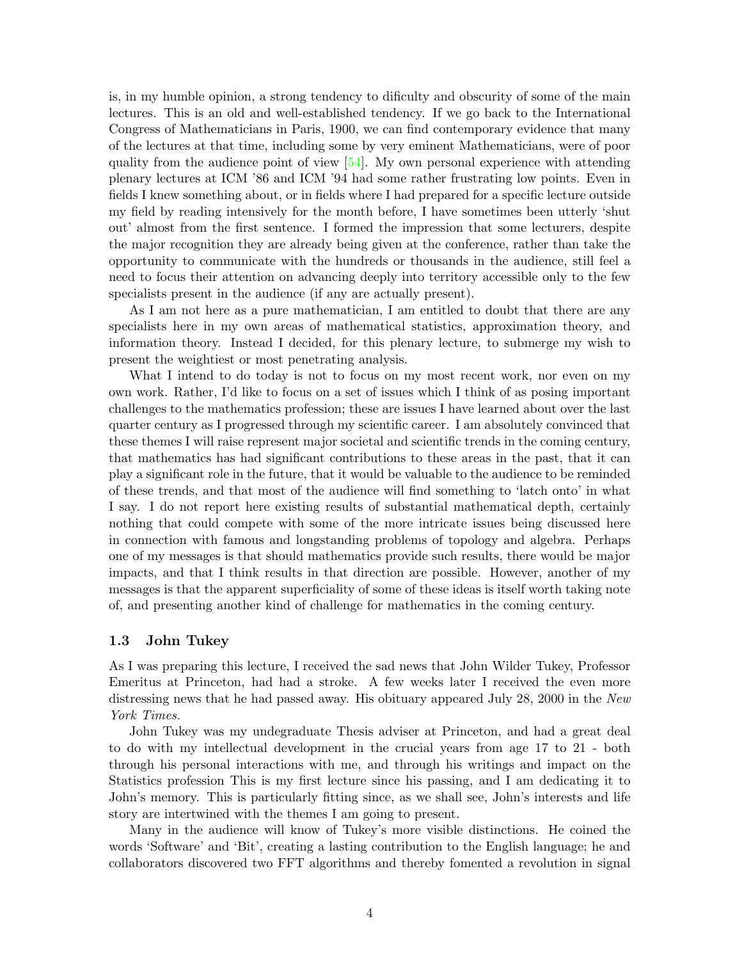is, in my humble opinion, a strong tendency to dificulty and obscurity of some of the main lectures. This is an old and well-established tendency. If we go back to the International Congress of Mathematicians in Paris, 1900, we can find contemporary evidence that many of the lectures at that time, including some by very eminent Mathematicians, were of poor quality from the audience point of view  $[54]$ . My own personal experience with attending plenary lectures at ICM '86 and ICM '94 had some rather frustrating low points. Even in fields I knew something about, or in fields where I had prepared for a specific lecture outside my field by reading intensively for the month before, I have sometimes been utterly 'shut out' almost from the first sentence. I formed the impression that some lecturers, despite the major recognition they are already being given at the conference, rather than take the opportunity to communicate with the hundreds or thousands in the audience, still feel a need to focus their attention on advancing deeply into territory accessible only to the few specialists present in the audience (if any are actually present).

As I am not here as a pure mathematician, I am entitled to doubt that there are any specialists here in my own areas of mathematical statistics, approximation theory, and information theory. Instead I decided, for this plenary lecture, to submerge my wish to present the weightiest or most penetrating analysis.

What I intend to do today is not to focus on my most recent work, nor even on my own work. Rather, I'd like to focus on a set of issues which I think of as posing important challenges to the mathematics profession; these are issues I have learned about over the last quarter century as I progressed through my scientific career. I am absolutely convinced that these themes I will raise represent major societal and scientific trends in the coming century, that mathematics has had significant contributions to these areas in the past, that it can play a significant role in the future, that it would be valuable to the audience to be reminded of these trends, and that most of the audience will find something to 'latch onto' in what I say. I do not report here existing results of substantial mathematical depth, certainly nothing that could compete with some of the more intricate issues being discussed here in connection with famous and longstanding problems of topology and algebra. Perhaps one of my messages is that should mathematics provide such results, there would be major impacts, and that I think results in that direction are possible. However, another of my messages is that the apparent superficiality of some of these ideas is itself worth taking note of, and presenting another kind of challenge for mathematics in the coming century.

### **1.3 John Tukey**

As I was preparing this lecture, I received the sad news that John Wilder Tukey, Professor Emeritus at Princeton, had had a stroke. A few weeks later I received the even more distressing news that he had passed away. His obituary appeared July 28, 2000 in the New York Times.

John Tukey was my undegraduate Thesis adviser at Princeton, and had a great deal to do with my intellectual development in the crucial years from age 17 to 21 - both through his personal interactions with me, and through his writings and impact on the Statistics profession This is my first lecture since his passing, and I am dedicating it to John's memory. This is particularly fitting since, as we shall see, John's interests and life story are intertwined with the themes I am going to present.

Many in the audience will know of Tukey's more visible distinctions. He coined the words 'Software' and 'Bit', creating a lasting contribution to the English language; he and collaborators discovered two FFT algorithms and thereby fomented a revolution in signal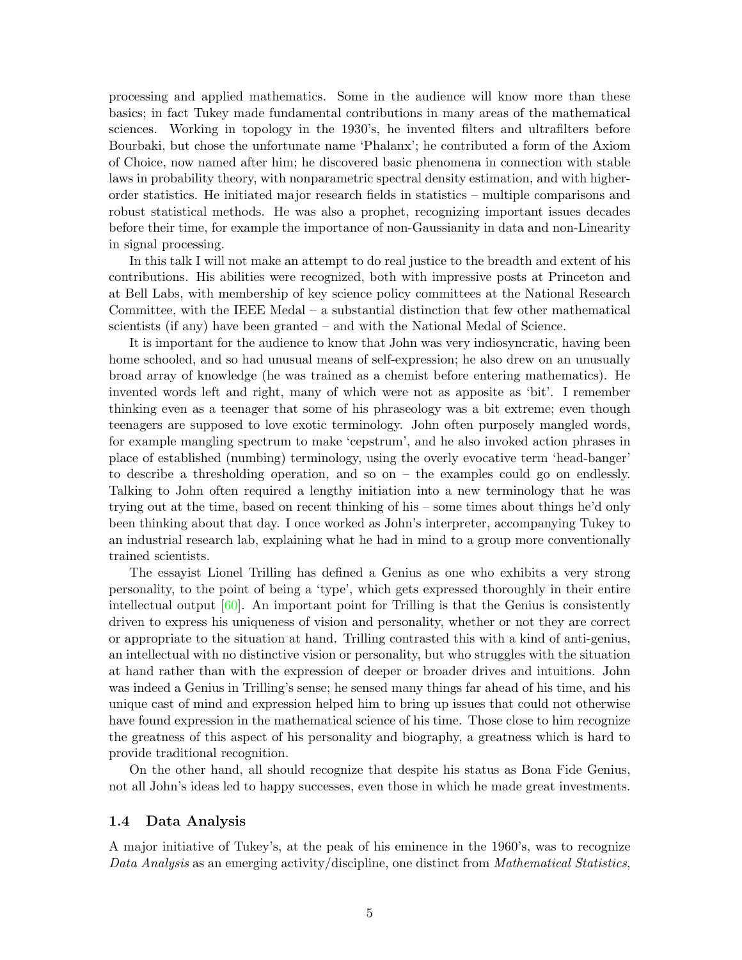processing and applied mathematics. Some in the audience will know more than these basics; in fact Tukey made fundamental contributions in many areas of the mathematical sciences. Working in topology in the 1930's, he invented filters and ultrafilters before Bourbaki, but chose the unfortunate name 'Phalanx'; he contributed a form of the Axiom of Choice, now named after him; he discovered basic phenomena in connection with stable laws in probability theory, with nonparametric spectral density estimation, and with higherorder statistics. He initiated major research fields in statistics – multiple comparisons and robust statistical methods. He was also a prophet, recognizing important issues decades before their time, for example the importance of non-Gaussianity in data and non-Linearity in signal processing.

In this talk I will not make an attempt to do real justice to the breadth and extent of his contributions. His abilities were recognized, both with impressive posts at Princeton and at Bell Labs, with membership of key science policy committees at the National Research Committee, with the IEEE Medal – a substantial distinction that few other mathematical scientists (if any) have been granted – and with the National Medal of Science.

It is important for the audience to know that John was very indiosyncratic, having been home schooled, and so had unusual means of self-expression; he also drew on an unusually broad array of knowledge (he was trained as a chemist before entering mathematics). He invented words left and right, many of which were not as apposite as 'bit'. I remember thinking even as a teenager that some of his phraseology was a bit extreme; even though teenagers are supposed to love exotic terminology. John often purposely mangled words, for example mangling spectrum to make 'cepstrum', and he also invoked action phrases in place of established (numbing) terminology, using the overly evocative term 'head-banger' to describe a thresholding operation, and so on – the examples could go on endlessly. Talking to John often required a lengthy initiation into a new terminology that he was trying out at the time, based on recent thinking of his – some times about things he'd only been thinking about that day. I once worked as John's interpreter, accompanying Tukey to an industrial research lab, explaining what he had in mind to a group more conventionally trained scientists.

The essayist Lionel Trilling has defined a Genius as one who exhibits a very strong personality, to the point of being a 'type', which gets expressed thoroughly in their entire intellectual output [\[60\]](#page-32-0). An important point for Trilling is that the Genius is consistently driven to express his uniqueness of vision and personality, whether or not they are correct or appropriate to the situation at hand. Trilling contrasted this with a kind of anti-genius, an intellectual with no distinctive vision or personality, but who struggles with the situation at hand rather than with the expression of deeper or broader drives and intuitions. John was indeed a Genius in Trilling's sense; he sensed many things far ahead of his time, and his unique cast of mind and expression helped him to bring up issues that could not otherwise have found expression in the mathematical science of his time. Those close to him recognize the greatness of this aspect of his personality and biography, a greatness which is hard to provide traditional recognition.

On the other hand, all should recognize that despite his status as Bona Fide Genius, not all John's ideas led to happy successes, even those in which he made great investments.

#### **1.4 Data Analysis**

A major initiative of Tukey's, at the peak of his eminence in the 1960's, was to recognize Data Analysis as an emerging activity/discipline, one distinct from *Mathematical Statistics*,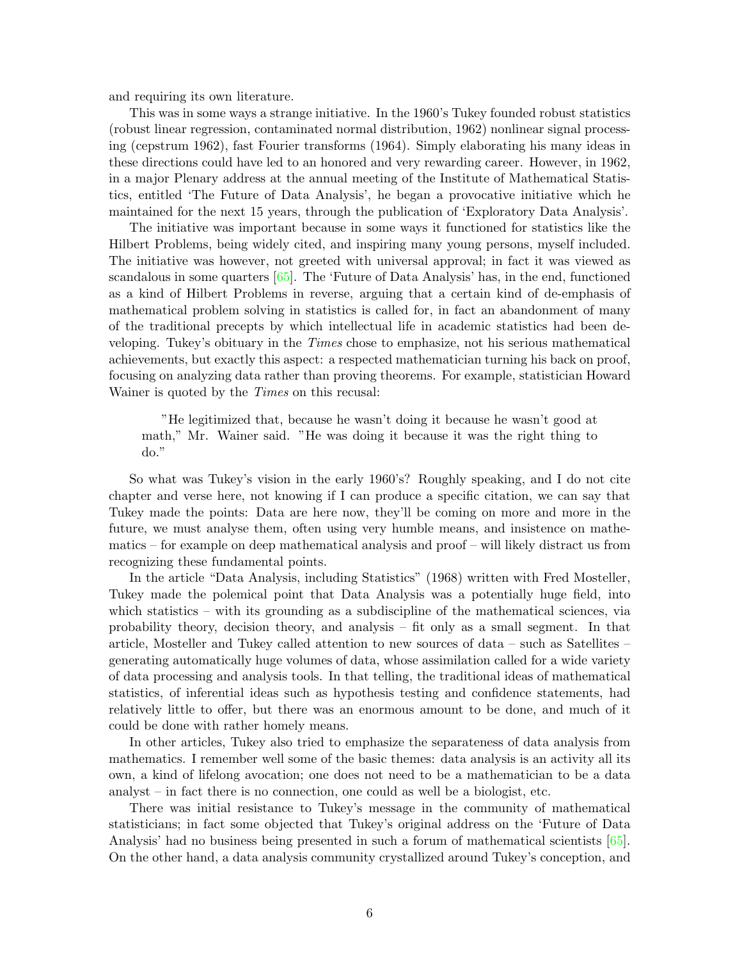and requiring its own literature.

This was in some ways a strange initiative. In the 1960's Tukey founded robust statistics (robust linear regression, contaminated normal distribution, 1962) nonlinear signal processing (cepstrum 1962), fast Fourier transforms (1964). Simply elaborating his many ideas in these directions could have led to an honored and very rewarding career. However, in 1962, in a major Plenary address at the annual meeting of the Institute of Mathematical Statistics, entitled 'The Future of Data Analysis', he began a provocative initiative which he maintained for the next 15 years, through the publication of 'Exploratory Data Analysis'.

The initiative was important because in some ways it functioned for statistics like the Hilbert Problems, being widely cited, and inspiring many young persons, myself included. The initiative was however, not greeted with universal approval; in fact it was viewed as scandalous in some quarters [\[65\]](#page-32-1). The 'Future of Data Analysis' has, in the end, functioned as a kind of Hilbert Problems in reverse, arguing that a certain kind of de-emphasis of mathematical problem solving in statistics is called for, in fact an abandonment of many of the traditional precepts by which intellectual life in academic statistics had been developing. Tukey's obituary in the Times chose to emphasize, not his serious mathematical achievements, but exactly this aspect: a respected mathematician turning his back on proof, focusing on analyzing data rather than proving theorems. For example, statistician Howard Wainer is quoted by the *Times* on this recusal:

"He legitimized that, because he wasn't doing it because he wasn't good at math," Mr. Wainer said. "He was doing it because it was the right thing to do."

So what was Tukey's vision in the early 1960's? Roughly speaking, and I do not cite chapter and verse here, not knowing if I can produce a specific citation, we can say that Tukey made the points: Data are here now, they'll be coming on more and more in the future, we must analyse them, often using very humble means, and insistence on mathematics – for example on deep mathematical analysis and proof – will likely distract us from recognizing these fundamental points.

In the article "Data Analysis, including Statistics" (1968) written with Fred Mosteller, Tukey made the polemical point that Data Analysis was a potentially huge field, into which statistics – with its grounding as a subdiscipline of the mathematical sciences, via probability theory, decision theory, and analysis – fit only as a small segment. In that article, Mosteller and Tukey called attention to new sources of data – such as Satellites – generating automatically huge volumes of data, whose assimilation called for a wide variety of data processing and analysis tools. In that telling, the traditional ideas of mathematical statistics, of inferential ideas such as hypothesis testing and confidence statements, had relatively little to offer, but there was an enormous amount to be done, and much of it could be done with rather homely means.

In other articles, Tukey also tried to emphasize the separateness of data analysis from mathematics. I remember well some of the basic themes: data analysis is an activity all its own, a kind of lifelong avocation; one does not need to be a mathematician to be a data analyst – in fact there is no connection, one could as well be a biologist, etc.

There was initial resistance to Tukey's message in the community of mathematical statisticians; in fact some objected that Tukey's original address on the 'Future of Data Analysis' had no business being presented in such a forum of mathematical scientists [\[65\]](#page-32-1). On the other hand, a data analysis community crystallized around Tukey's conception, and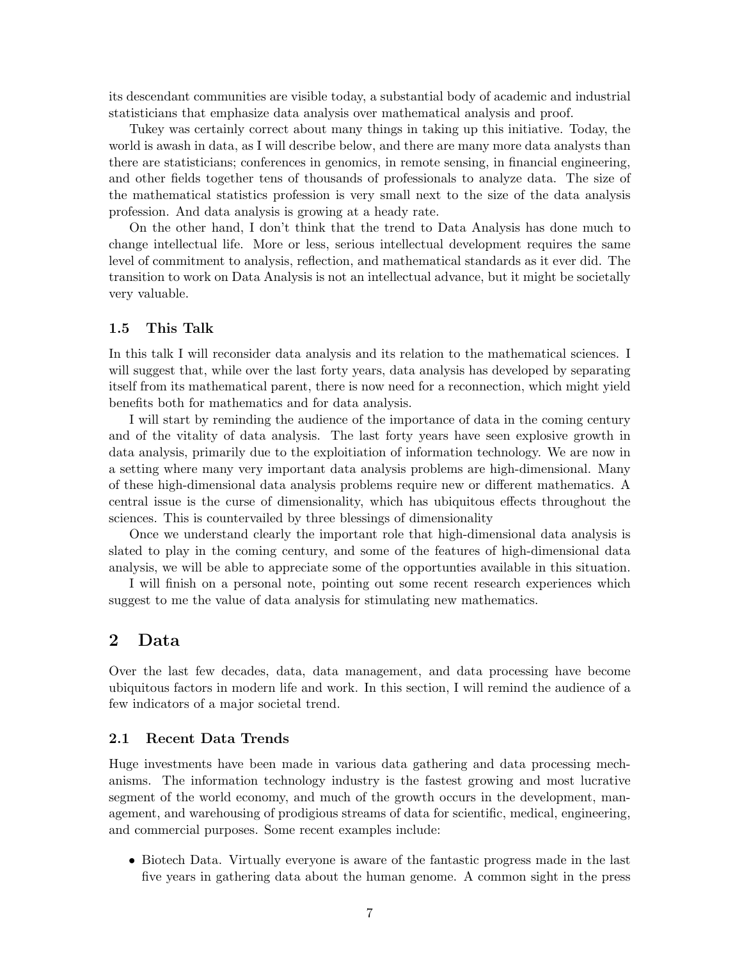its descendant communities are visible today, a substantial body of academic and industrial statisticians that emphasize data analysis over mathematical analysis and proof.

Tukey was certainly correct about many things in taking up this initiative. Today, the world is awash in data, as I will describe below, and there are many more data analysts than there are statisticians; conferences in genomics, in remote sensing, in financial engineering, and other fields together tens of thousands of professionals to analyze data. The size of the mathematical statistics profession is very small next to the size of the data analysis profession. And data analysis is growing at a heady rate.

On the other hand, I don't think that the trend to Data Analysis has done much to change intellectual life. More or less, serious intellectual development requires the same level of commitment to analysis, reflection, and mathematical standards as it ever did. The transition to work on Data Analysis is not an intellectual advance, but it might be societally very valuable.

### **1.5 This Talk**

In this talk I will reconsider data analysis and its relation to the mathematical sciences. I will suggest that, while over the last forty years, data analysis has developed by separating itself from its mathematical parent, there is now need for a reconnection, which might yield benefits both for mathematics and for data analysis.

I will start by reminding the audience of the importance of data in the coming century and of the vitality of data analysis. The last forty years have seen explosive growth in data analysis, primarily due to the exploitiation of information technology. We are now in a setting where many very important data analysis problems are high-dimensional. Many of these high-dimensional data analysis problems require new or different mathematics. A central issue is the curse of dimensionality, which has ubiquitous effects throughout the sciences. This is countervailed by three blessings of dimensionality

Once we understand clearly the important role that high-dimensional data analysis is slated to play in the coming century, and some of the features of high-dimensional data analysis, we will be able to appreciate some of the opportunties available in this situation.

I will finish on a personal note, pointing out some recent research experiences which suggest to me the value of data analysis for stimulating new mathematics.

# **2 Data**

Over the last few decades, data, data management, and data processing have become ubiquitous factors in modern life and work. In this section, I will remind the audience of a few indicators of a major societal trend.

#### **2.1 Recent Data Trends**

Huge investments have been made in various data gathering and data processing mechanisms. The information technology industry is the fastest growing and most lucrative segment of the world economy, and much of the growth occurs in the development, management, and warehousing of prodigious streams of data for scientific, medical, engineering, and commercial purposes. Some recent examples include:

• Biotech Data. Virtually everyone is aware of the fantastic progress made in the last five years in gathering data about the human genome. A common sight in the press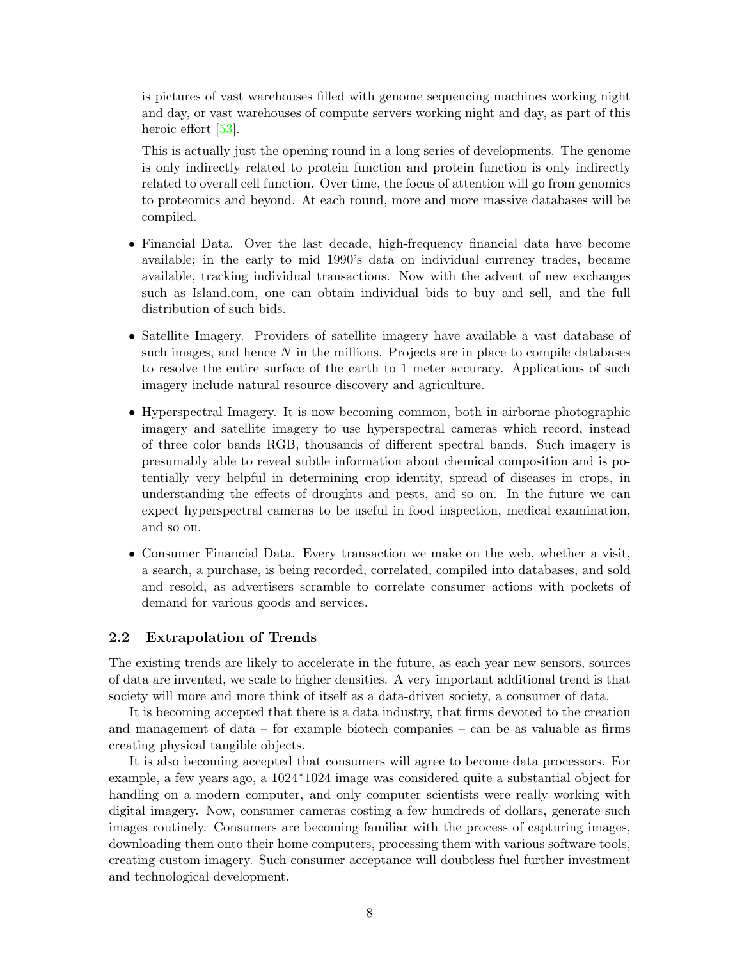is pictures of vast warehouses filled with genome sequencing machines working night and day, or vast warehouses of compute servers working night and day, as part of this heroic effort [\[53\]](#page-31-2).

This is actually just the opening round in a long series of developments. The genome is only indirectly related to protein function and protein function is only indirectly related to overall cell function. Over time, the focus of attention will go from genomics to proteomics and beyond. At each round, more and more massive databases will be compiled.

- Financial Data. Over the last decade, high-frequency financial data have become available; in the early to mid 1990's data on individual currency trades, became available, tracking individual transactions. Now with the advent of new exchanges such as Island.com, one can obtain individual bids to buy and sell, and the full distribution of such bids.
- Satellite Imagery. Providers of satellite imagery have available a vast database of such images, and hence  $N$  in the millions. Projects are in place to compile databases to resolve the entire surface of the earth to 1 meter accuracy. Applications of such imagery include natural resource discovery and agriculture.
- Hyperspectral Imagery. It is now becoming common, both in airborne photographic imagery and satellite imagery to use hyperspectral cameras which record, instead of three color bands RGB, thousands of different spectral bands. Such imagery is presumably able to reveal subtle information about chemical composition and is potentially very helpful in determining crop identity, spread of diseases in crops, in understanding the effects of droughts and pests, and so on. In the future we can expect hyperspectral cameras to be useful in food inspection, medical examination, and so on.
- Consumer Financial Data. Every transaction we make on the web, whether a visit, a search, a purchase, is being recorded, correlated, compiled into databases, and sold and resold, as advertisers scramble to correlate consumer actions with pockets of demand for various goods and services.

### **2.2 Extrapolation of Trends**

The existing trends are likely to accelerate in the future, as each year new sensors, sources of data are invented, we scale to higher densities. A very important additional trend is that society will more and more think of itself as a data-driven society, a consumer of data.

It is becoming accepted that there is a data industry, that firms devoted to the creation and management of data – for example biotech companies – can be as valuable as firms creating physical tangible objects.

It is also becoming accepted that consumers will agree to become data processors. For example, a few years ago, a 1024\*1024 image was considered quite a substantial object for handling on a modern computer, and only computer scientists were really working with digital imagery. Now, consumer cameras costing a few hundreds of dollars, generate such images routinely. Consumers are becoming familiar with the process of capturing images, downloading them onto their home computers, processing them with various software tools, creating custom imagery. Such consumer acceptance will doubtless fuel further investment and technological development.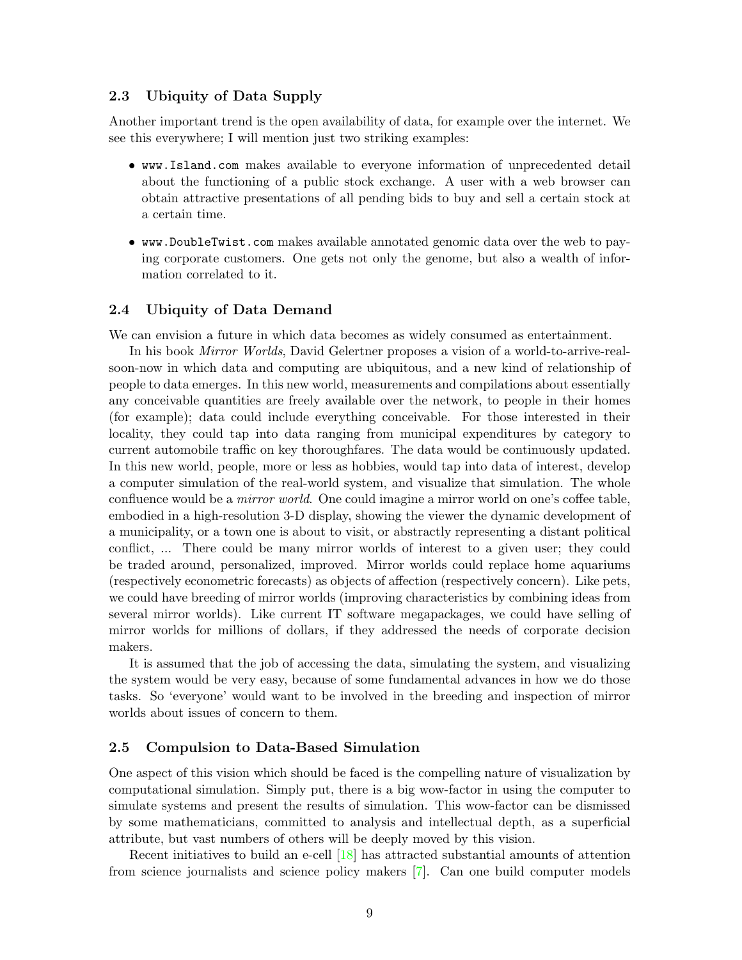### **2.3 Ubiquity of Data Supply**

Another important trend is the open availability of data, for example over the internet. We see this everywhere; I will mention just two striking examples:

- www.Island.com makes available to everyone information of unprecedented detail about the functioning of a public stock exchange. A user with a web browser can obtain attractive presentations of all pending bids to buy and sell a certain stock at a certain time.
- www.DoubleTwist.com makes available annotated genomic data over the web to paying corporate customers. One gets not only the genome, but also a wealth of information correlated to it.

### **2.4 Ubiquity of Data Demand**

We can envision a future in which data becomes as widely consumed as entertainment.

In his book Mirror Worlds, David Gelertner proposes a vision of a world-to-arrive-realsoon-now in which data and computing are ubiquitous, and a new kind of relationship of people to data emerges. In this new world, measurements and compilations about essentially any conceivable quantities are freely available over the network, to people in their homes (for example); data could include everything conceivable. For those interested in their locality, they could tap into data ranging from municipal expenditures by category to current automobile traffic on key thoroughfares. The data would be continuously updated. In this new world, people, more or less as hobbies, would tap into data of interest, develop a computer simulation of the real-world system, and visualize that simulation. The whole confluence would be a *mirror world*. One could imagine a mirror world on one's coffee table, embodied in a high-resolution 3-D display, showing the viewer the dynamic development of a municipality, or a town one is about to visit, or abstractly representing a distant political conflict, ... There could be many mirror worlds of interest to a given user; they could be traded around, personalized, improved. Mirror worlds could replace home aquariums (respectively econometric forecasts) as objects of affection (respectively concern). Like pets, we could have breeding of mirror worlds (improving characteristics by combining ideas from several mirror worlds). Like current IT software megapackages, we could have selling of mirror worlds for millions of dollars, if they addressed the needs of corporate decision makers.

It is assumed that the job of accessing the data, simulating the system, and visualizing the system would be very easy, because of some fundamental advances in how we do those tasks. So 'everyone' would want to be involved in the breeding and inspection of mirror worlds about issues of concern to them.

#### **2.5 Compulsion to Data-Based Simulation**

One aspect of this vision which should be faced is the compelling nature of visualization by computational simulation. Simply put, there is a big wow-factor in using the computer to simulate systems and present the results of simulation. This wow-factor can be dismissed by some mathematicians, committed to analysis and intellectual depth, as a superficial attribute, but vast numbers of others will be deeply moved by this vision.

Recent initiatives to build an e-cell [\[18\]](#page-29-0) has attracted substantial amounts of attention from science journalists and science policy makers [\[7\]](#page-29-1). Can one build computer models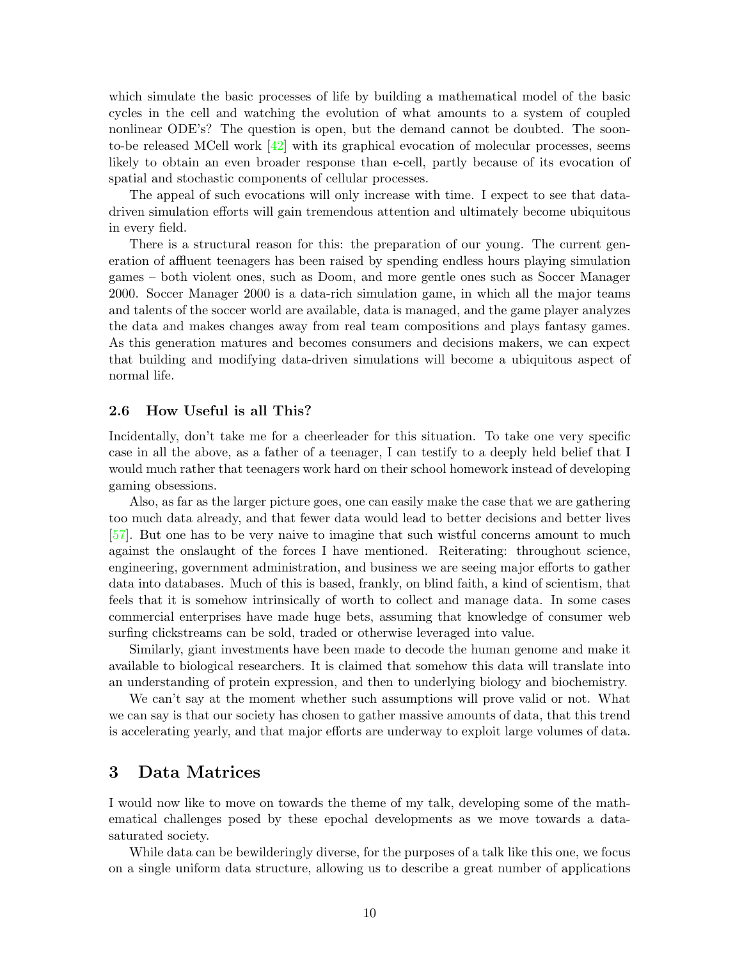which simulate the basic processes of life by building a mathematical model of the basic cycles in the cell and watching the evolution of what amounts to a system of coupled nonlinear ODE's? The question is open, but the demand cannot be doubted. The soonto-be released MCell work  $[42]$  with its graphical evocation of molecular processes, seems likely to obtain an even broader response than e-cell, partly because of its evocation of spatial and stochastic components of cellular processes.

The appeal of such evocations will only increase with time. I expect to see that datadriven simulation efforts will gain tremendous attention and ultimately become ubiquitous in every field.

There is a structural reason for this: the preparation of our young. The current generation of affluent teenagers has been raised by spending endless hours playing simulation games – both violent ones, such as Doom, and more gentle ones such as Soccer Manager 2000. Soccer Manager 2000 is a data-rich simulation game, in which all the major teams and talents of the soccer world are available, data is managed, and the game player analyzes the data and makes changes away from real team compositions and plays fantasy games. As this generation matures and becomes consumers and decisions makers, we can expect that building and modifying data-driven simulations will become a ubiquitous aspect of normal life.

#### 2.6 How Useful is all This?

Incidentally, don't take me for a cheerleader for this situation. To take one very specific case in all the above, as a father of a teenager, I can testify to a deeply held belief that I would much rather that teenagers work hard on their school homework instead of developing gaming obsessions.

Also, as far as the larger picture goes, one can easily make the case that we are gathering too much data already, and that fewer data would lead to better decisions and better lives [\[57\]](#page-32-2). But one has to be very naive to imagine that such wistful concerns amount to much against the onslaught of the forces I have mentioned. Reiterating: throughout science, engineering, government administration, and business we are seeing major efforts to gather data into databases. Much of this is based, frankly, on blind faith, a kind of scientism, that feels that it is somehow intrinsically of worth to collect and manage data. In some cases commercial enterprises have made huge bets, assuming that knowledge of consumer web surfing clickstreams can be sold, traded or otherwise leveraged into value.

Similarly, giant investments have been made to decode the human genome and make it available to biological researchers. It is claimed that somehow this data will translate into an understanding of protein expression, and then to underlying biology and biochemistry.

We can't say at the moment whether such assumptions will prove valid or not. What we can say is that our society has chosen to gather massive amounts of data, that this trend is accelerating yearly, and that major efforts are underway to exploit large volumes of data.

# **3 Data Matrices**

I would now like to move on towards the theme of my talk, developing some of the mathematical challenges posed by these epochal developments as we move towards a datasaturated society.

While data can be bewilderingly diverse, for the purposes of a talk like this one, we focus on a single uniform data structure, allowing us to describe a great number of applications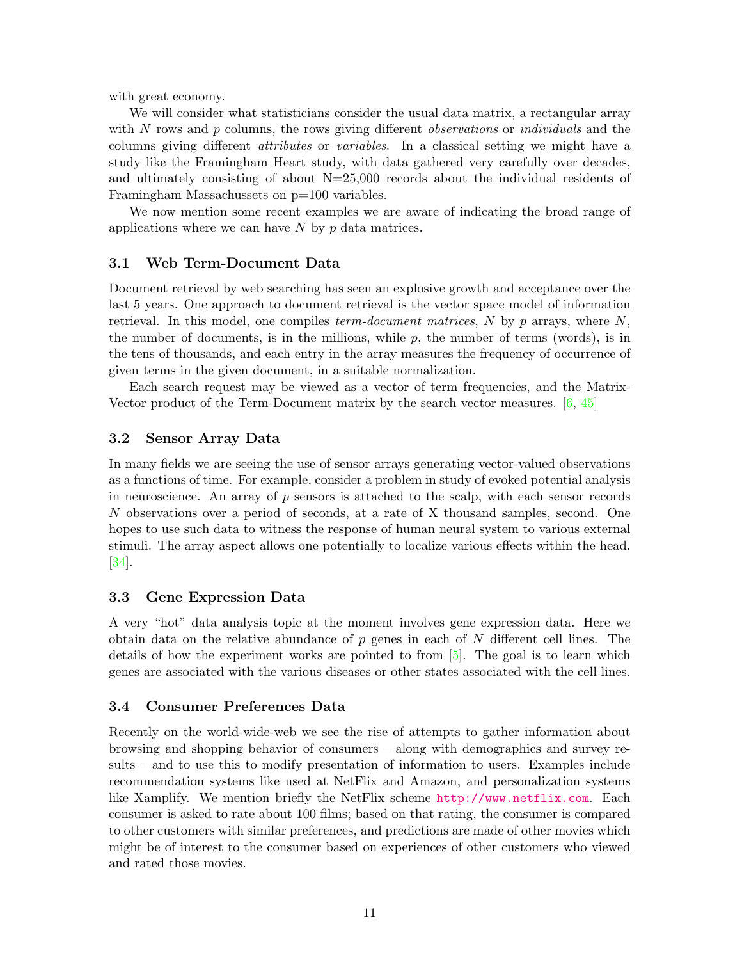with great economy.

We will consider what statisticians consider the usual data matrix, a rectangular array with *N* rows and *p* columns, the rows giving different *observations* or *individuals* and the columns giving different *attributes* or *variables*. In a classical setting we might have a study like the Framingham Heart study, with data gathered very carefully over decades, and ultimately consisting of about N=25,000 records about the individual residents of Framingham Massachussets on  $p=100$  variables.

We now mention some recent examples we are aware of indicating the broad range of applications where we can have *N* by *p* data matrices.

### **3.1 Web Term-Document Data**

Document retrieval by web searching has seen an explosive growth and acceptance over the last 5 years. One approach to document retrieval is the vector space model of information retrieval. In this model, one compiles term-document matrices, *N* by *p* arrays, where *N*, the number of documents, is in the millions, while *p*, the number of terms (words), is in the tens of thousands, and each entry in the array measures the frequency of occurrence of given terms in the given document, in a suitable normalization.

Each search request may be viewed as a vector of term frequencies, and the Matrix-Vector product of the Term-Document matrix by the search vector measures. [\[6,](#page-29-2) [45\]](#page-31-4)

### **3.2 Sensor Array Data**

In many fields we are seeing the use of sensor arrays generating vector-valued observations as a functions of time. For example, consider a problem in study of evoked potential analysis in neuroscience. An array of  $p$  sensors is attached to the scalp, with each sensor records *N* observations over a period of seconds, at a rate of X thousand samples, second. One hopes to use such data to witness the response of human neural system to various external stimuli. The array aspect allows one potentially to localize various effects within the head. [\[34\]](#page-30-2).

### **3.3 Gene Expression Data**

A very "hot" data analysis topic at the moment involves gene expression data. Here we obtain data on the relative abundance of *p* genes in each of *N* different cell lines. The details of how the experiment works are pointed to from [\[5\]](#page-29-3). The goal is to learn which genes are associated with the various diseases or other states associated with the cell lines.

#### **3.4 Consumer Preferences Data**

Recently on the world-wide-web we see the rise of attempts to gather information about browsing and shopping behavior of consumers – along with demographics and survey results – and to use this to modify presentation of information to users. Examples include recommendation systems like used at NetFlix and Amazon, and personalization systems like Xamplify. We mention briefly the NetFlix scheme <http://www.netflix.com>. Each consumer is asked to rate about 100 films; based on that rating, the consumer is compared to other customers with similar preferences, and predictions are made of other movies which might be of interest to the consumer based on experiences of other customers who viewed and rated those movies.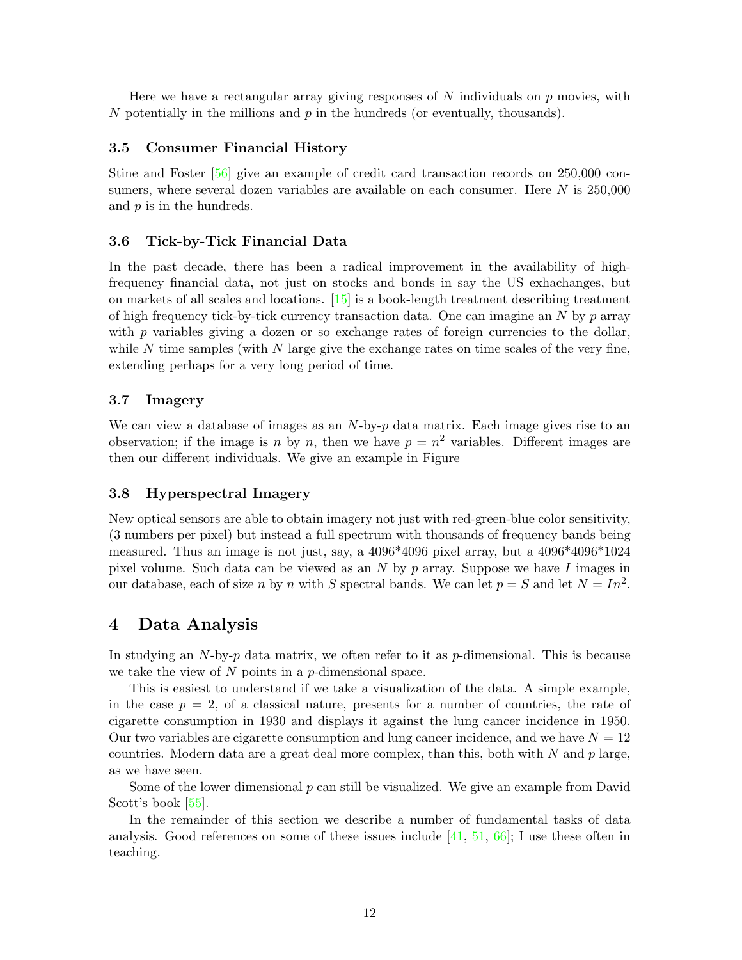Here we have a rectangular array giving responses of *N* individuals on *p* movies, with *N* potentially in the millions and *p* in the hundreds (or eventually, thousands).

### **3.5 Consumer Financial History**

Stine and Foster [\[56\]](#page-31-5) give an example of credit card transaction records on 250,000 consumers, where several dozen variables are available on each consumer. Here *N* is 250,000 and *p* is in the hundreds.

#### **3.6 Tick-by-Tick FinancialData**

In the past decade, there has been a radical improvement in the availability of highfrequency financial data, not just on stocks and bonds in say the US exhachanges, but on markets of all scales and locations. [\[15\]](#page-29-4) is a book-length treatment describing treatment of high frequency tick-by-tick currency transaction data. One can imagine an *N* by *p* array with  $p$  variables giving a dozen or so exchange rates of foreign currencies to the dollar, while N time samples (with N large give the exchange rates on time scales of the very fine, extending perhaps for a very long period of time.

## **3.7 Imagery**

We can view a database of images as an *N*-by-*p* data matrix. Each image gives rise to an observation; if the image is *n* by *n*, then we have  $p = n^2$  variables. Different images are then our different individuals. We give an example in Figure

### **3.8 HyperspectralImagery**

New optical sensors are able to obtain imagery not just with red-green-blue color sensitivity, (3 numbers per pixel) but instead a full spectrum with thousands of frequency bands being measured. Thus an image is not just, say, a 4096\*4096 pixel array, but a 4096\*4096\*1024 pixel volume. Such data can be viewed as an *N* by *p* array. Suppose we have *I* images in our database, each of size *n* by *n* with *S* spectral bands. We can let  $p = S$  and let  $N = In^2$ .

# **4 Data Analysis**

In studying an *N*-by-*p* data matrix, we often refer to it as *p*-dimensional. This is because we take the view of *N* points in a *p*-dimensional space.

This is easiest to understand if we take a visualization of the data. A simple example, in the case  $p = 2$ , of a classical nature, presents for a number of countries, the rate of cigarette consumption in 1930 and displays it against the lung cancer incidence in 1950. Our two variables are cigarette consumption and lung cancer incidence, and we have  $N = 12$ countries. Modern data are a great deal more complex, than this, both with *N* and *p* large, as we have seen.

Some of the lower dimensional *p* can still be visualized. We give an example from David Scott's book [\[55\]](#page-31-6).

In the remainder of this section we describe a number of fundamental tasks of data analysis. Good references on some of these issues include  $[41, 51, 66]$  $[41, 51, 66]$  $[41, 51, 66]$  $[41, 51, 66]$  $[41, 51, 66]$ ; I use these often in teaching.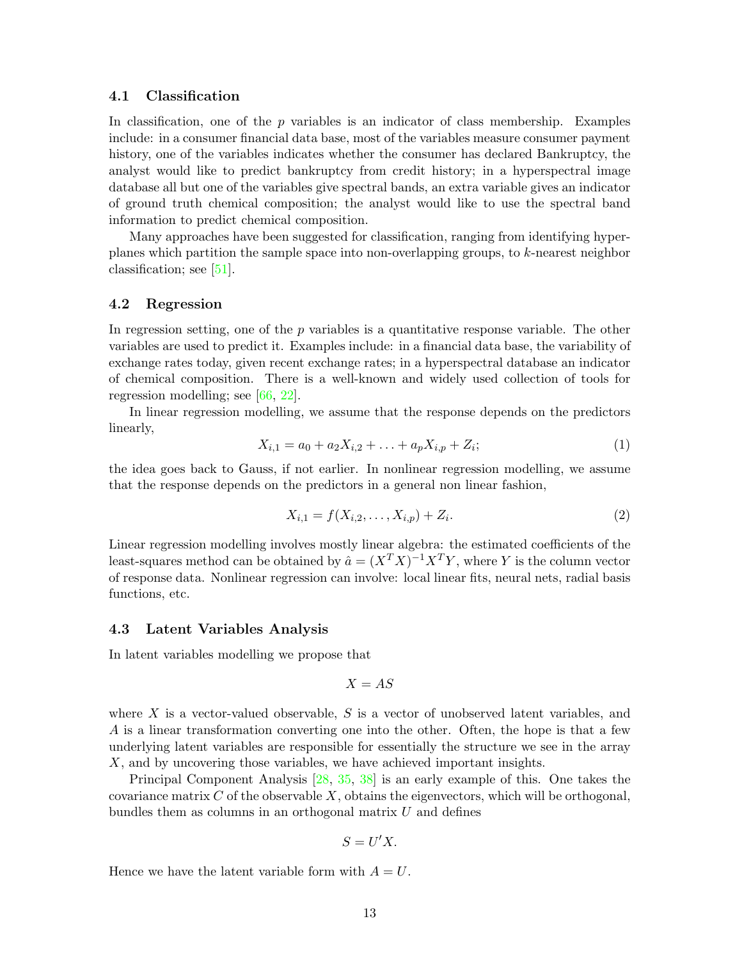### **4.1 Classification**

In classification, one of the *p* variables is an indicator of class membership. Examples include: in a consumer financial data base, most of the variables measure consumer payment history, one of the variables indicates whether the consumer has declared Bankruptcy, the analyst would like to predict bankruptcy from credit history; in a hyperspectral image database all but one of the variables give spectral bands, an extra variable gives an indicator of ground truth chemical composition; the analyst would like to use the spectral band information to predict chemical composition.

Many approaches have been suggested for classification, ranging from identifying hyperplanes which partition the sample space into non-overlapping groups, to *k*-nearest neighbor classification; see [\[51\]](#page-31-8).

#### **4.2 Regression**

In regression setting, one of the *p* variables is a quantitative response variable. The other variables are used to predict it. Examples include: in a financial data base, the variability of exchange rates today, given recent exchange rates; in a hyperspectral database an indicator of chemical composition. There is a well-known and widely used collection of tools for regression modelling; see [\[66,](#page-32-3) [22\]](#page-30-3).

<span id="page-12-0"></span>In linear regression modelling, we assume that the response depends on the predictors linearly,

$$
X_{i,1} = a_0 + a_2 X_{i,2} + \ldots + a_p X_{i,p} + Z_i;
$$
\n<sup>(1)</sup>

the idea goes back to Gauss, if not earlier. In nonlinear regression modelling, we assume that the response depends on the predictors in a general non linear fashion,

$$
X_{i,1} = f(X_{i,2}, \dots, X_{i,p}) + Z_i.
$$
 (2)

Linear regression modelling involves mostly linear algebra: the estimated coefficients of the least-squares method can be obtained by  $\hat{a} = (X^T X)^{-1} X^T Y$ , where *Y* is the column vector of response data. Nonlinear regression can involve: local linear fits, neural nets, radial basis functions, etc.

#### **4.3 Latent Variables Analysis**

In latent variables modelling we propose that

$$
X = AS
$$

where *X* is a vector-valued observable, *S* is a vector of unobserved latent variables, and *A* is a linear transformation converting one into the other. Often, the hope is that a few underlying latent variables are responsible for essentially the structure we see in the array *X*, and by uncovering those variables, we have achieved important insights.

Principal Component Analysis [\[28,](#page-30-4) [35,](#page-30-5) [38\]](#page-31-9) is an early example of this. One takes the covariance matrix  $C$  of the observable  $X$ , obtains the eigenvectors, which will be orthogonal, bundles them as columns in an orthogonal matrix *U* and defines

$$
S = U'X.
$$

Hence we have the latent variable form with  $A = U$ .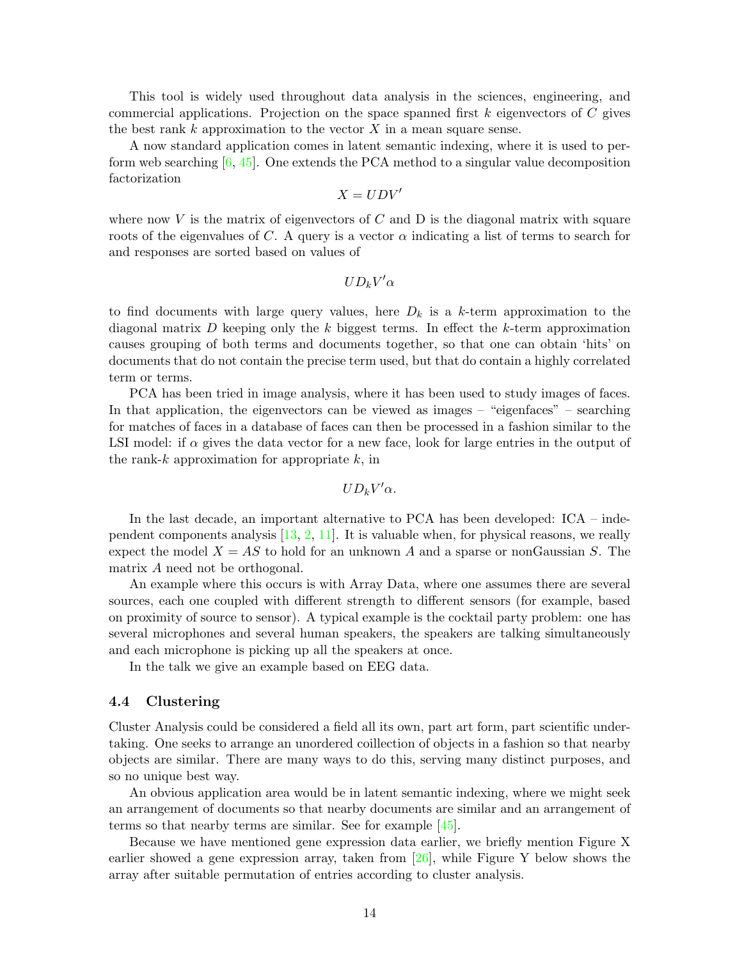This tool is widely used throughout data analysis in the sciences, engineering, and commercial applications. Projection on the space spanned first *k* eigenvectors of *C* gives the best rank *k* approximation to the vector *X* in a mean square sense.

A now standard application comes in latent semantic indexing, where it is used to perform web searching  $[6, 45]$  $[6, 45]$  $[6, 45]$ . One extends the PCA method to a singular value decomposition factorization

$$
X = UDV'
$$

where now  $V$  is the matrix of eigenvectors of  $C$  and  $D$  is the diagonal matrix with square roots of the eigenvalues of C. A query is a vector  $\alpha$  indicating a list of terms to search for and responses are sorted based on values of

 $UD_kV'\alpha$ 

to find documents with large query values, here  $D_k$  is a  $k$ -term approximation to the diagonal matrix *D* keeping only the *k* biggest terms. In effect the *k*-term approximation causes grouping of both terms and documents together, so that one can obtain 'hits' on documents that do not contain the precise term used, but that do contain a highly correlated term or terms.

PCA has been tried in image analysis, where it has been used to study images of faces. In that application, the eigenvectors can be viewed as images – "eigenfaces" – searching for matches of faces in a database of faces can then be processed in a fashion similar to the LSI model: if *α* gives the data vector for a new face, look for large entries in the output of the rank-*k* approximation for appropriate *k*, in

 $UD_kV'\alpha$ .

In the last decade, an important alternative to PCA has been developed: ICA – independent components analysis  $[13, 2, 11]$  $[13, 2, 11]$  $[13, 2, 11]$  $[13, 2, 11]$  $[13, 2, 11]$ . It is valuable when, for physical reasons, we really expect the model  $X = AS$  to hold for an unknown A and a sparse or nonGaussian S. The matrix *A* need not be orthogonal.

An example where this occurs is with Array Data, where one assumes there are several sources, each one coupled with different strength to different sensors (for example, based on proximity of source to sensor). A typical example is the cocktail party problem: one has several microphones and several human speakers, the speakers are talking simultaneously and each microphone is picking up all the speakers at once.

In the talk we give an example based on EEG data.

### **4.4 Clustering**

Cluster Analysis could be considered a field all its own, part art form, part scientific undertaking. One seeks to arrange an unordered coillection of objects in a fashion so that nearby objects are similar. There are many ways to do this, serving many distinct purposes, and so no unique best way.

An obvious application area would be in latent semantic indexing, where we might seek an arrangement of documents so that nearby documents are similar and an arrangement of terms so that nearby terms are similar. See for example  $[45]$ .

Because we have mentioned gene expression data earlier, we briefly mention Figure X earlier showed a gene expression array, taken from  $[26]$ , while Figure Y below shows the array after suitable permutation of entries according to cluster analysis.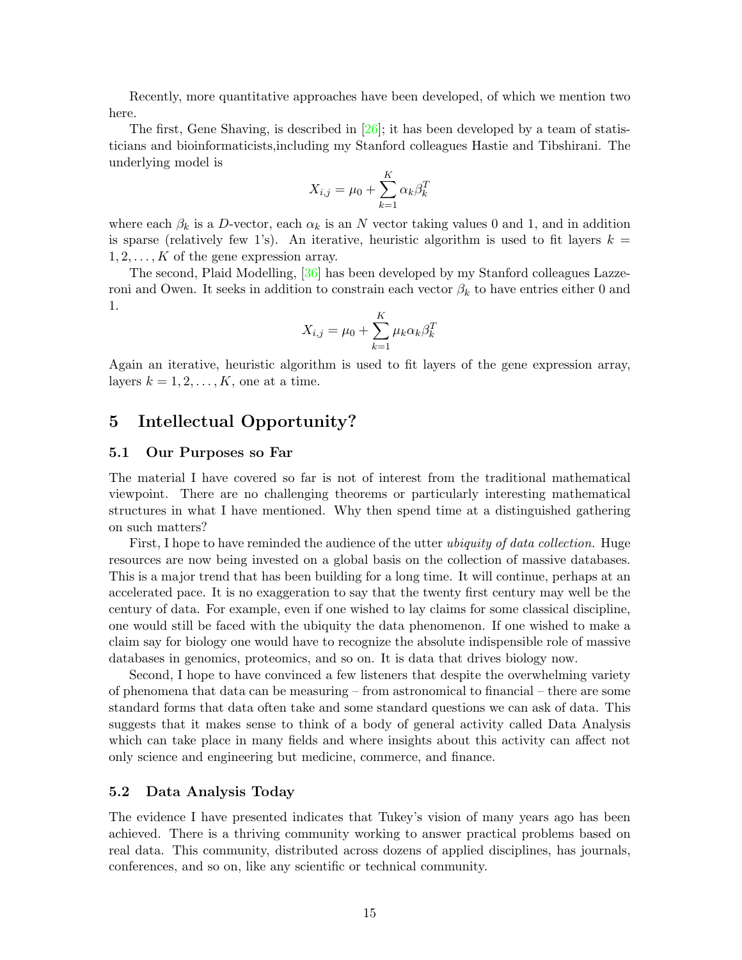Recently, more quantitative approaches have been developed, of which we mention two here.

The first, Gene Shaving, is described in  $[26]$ ; it has been developed by a team of statisticians and bioinformaticists,including my Stanford colleagues Hastie and Tibshirani. The underlying model is

$$
X_{i,j} = \mu_0 + \sum_{k=1}^{K} \alpha_k \beta_k^T
$$

where each  $\beta_k$  is a *D*-vector, each  $\alpha_k$  is an *N* vector taking values 0 and 1, and in addition is sparse (relatively few 1's). An iterative, heuristic algorithm is used to fit layers  $k =$ 1*,* 2*,...,K* of the gene expression array.

The second, Plaid Modelling, [\[36\]](#page-31-10) has been developed by my Stanford colleagues Lazzeroni and Owen. It seeks in addition to constrain each vector  $\beta_k$  to have entries either 0 and 1.

$$
X_{i,j} = \mu_0 + \sum_{k=1}^{K} \mu_k \alpha_k \beta_k^T
$$

Again an iterative, heuristic algorithm is used to fit layers of the gene expression array, layers  $k = 1, 2, \ldots, K$ , one at a time.

# **5 Intellectual Opportunity?**

## **5.1 Our Purposes so Far**

The material I have covered so far is not of interest from the traditional mathematical viewpoint. There are no challenging theorems or particularly interesting mathematical structures in what I have mentioned. Why then spend time at a distinguished gathering on such matters?

First, I hope to have reminded the audience of the utter *ubiquity of data collection*. Huge resources are now being invested on a global basis on the collection of massive databases. This is a major trend that has been building for a long time. It will continue, perhaps at an accelerated pace. It is no exaggeration to say that the twenty first century may well be the century of data. For example, even if one wished to lay claims for some classical discipline, one would still be faced with the ubiquity the data phenomenon. If one wished to make a claim say for biology one would have to recognize the absolute indispensible role of massive databases in genomics, proteomics, and so on. It is data that drives biology now.

Second, I hope to have convinced a few listeners that despite the overwhelming variety of phenomena that data can be measuring – from astronomical to financial – there are some standard forms that data often take and some standard questions we can ask of data. This suggests that it makes sense to think of a body of general activity called Data Analysis which can take place in many fields and where insights about this activity can affect not only science and engineering but medicine, commerce, and finance.

### **5.2 Data Analysis Today**

The evidence I have presented indicates that Tukey's vision of many years ago has been achieved. There is a thriving community working to answer practical problems based on real data. This community, distributed across dozens of applied disciplines, has journals, conferences, and so on, like any scientific or technical community.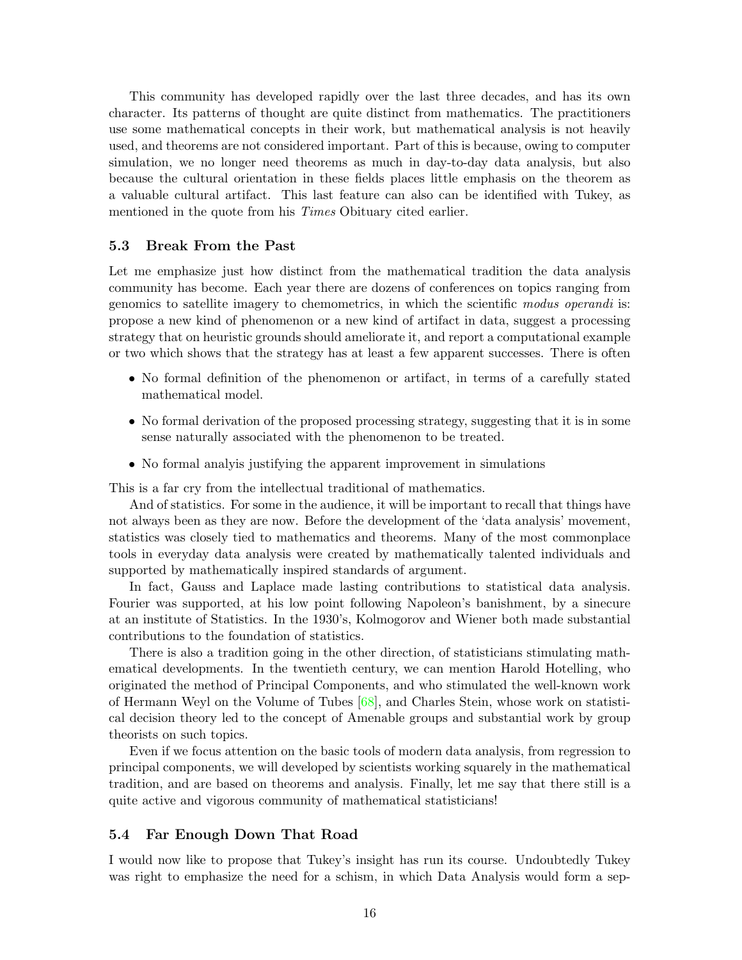This community has developed rapidly over the last three decades, and has its own character. Its patterns of thought are quite distinct from mathematics. The practitioners use some mathematical concepts in their work, but mathematical analysis is not heavily used, and theorems are not considered important. Part of this is because, owing to computer simulation, we no longer need theorems as much in day-to-day data analysis, but also because the cultural orientation in these fields places little emphasis on the theorem as a valuable cultural artifact. This last feature can also can be identified with Tukey, as mentioned in the quote from his *Times* Obituary cited earlier.

### **5.3 Break From the Past**

Let me emphasize just how distinct from the mathematical tradition the data analysis community has become. Each year there are dozens of conferences on topics ranging from genomics to satellite imagery to chemometrics, in which the scientific modus operandi is: propose a new kind of phenomenon or a new kind of artifact in data, suggest a processing strategy that on heuristic grounds should ameliorate it, and report a computational example or two which shows that the strategy has at least a few apparent successes. There is often

- No formal definition of the phenomenon or artifact, in terms of a carefully stated mathematical model.
- No formal derivation of the proposed processing strategy, suggesting that it is in some sense naturally associated with the phenomenon to be treated.
- No formal analyis justifying the apparent improvement in simulations

This is a far cry from the intellectual traditional of mathematics.

And of statistics. For some in the audience, it will be important to recall that things have not always been as they are now. Before the development of the 'data analysis' movement, statistics was closely tied to mathematics and theorems. Many of the most commonplace tools in everyday data analysis were created by mathematically talented individuals and supported by mathematically inspired standards of argument.

In fact, Gauss and Laplace made lasting contributions to statistical data analysis. Fourier was supported, at his low point following Napoleon's banishment, by a sinecure at an institute of Statistics. In the 1930's, Kolmogorov and Wiener both made substantial contributions to the foundation of statistics.

There is also a tradition going in the other direction, of statisticians stimulating mathematical developments. In the twentieth century, we can mention Harold Hotelling, who originated the method of Principal Components, and who stimulated the well-known work of Hermann Weyl on the Volume of Tubes [\[68\]](#page-32-4), and Charles Stein, whose work on statistical decision theory led to the concept of Amenable groups and substantial work by group theorists on such topics.

Even if we focus attention on the basic tools of modern data analysis, from regression to principal components, we will developed by scientists working squarely in the mathematical tradition, and are based on theorems and analysis. Finally, let me say that there still is a quite active and vigorous community of mathematical statisticians!

## **5.4 Far Enough Down That Road**

I would now like to propose that Tukey's insight has run its course. Undoubtedly Tukey was right to emphasize the need for a schism, in which Data Analysis would form a sep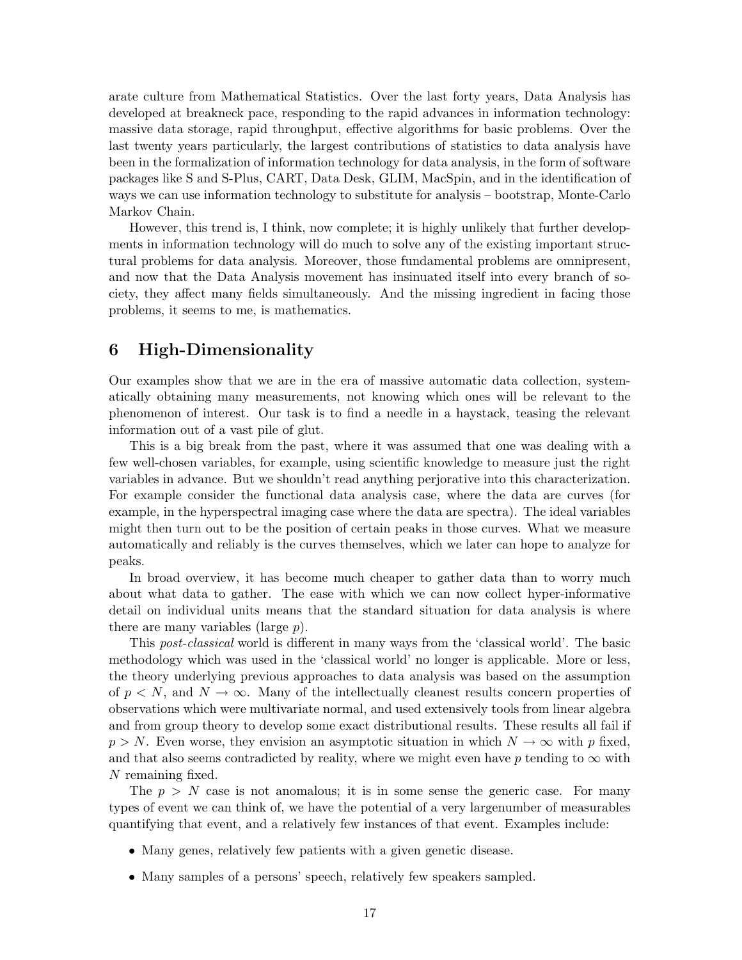arate culture from Mathematical Statistics. Over the last forty years, Data Analysis has developed at breakneck pace, responding to the rapid advances in information technology: massive data storage, rapid throughput, effective algorithms for basic problems. Over the last twenty years particularly, the largest contributions of statistics to data analysis have been in the formalization of information technology for data analysis, in the form of software packages like S and S-Plus, CART, Data Desk, GLIM, MacSpin, and in the identification of ways we can use information technology to substitute for analysis – bootstrap, Monte-Carlo Markov Chain.

However, this trend is, I think, now complete; it is highly unlikely that further developments in information technology will do much to solve any of the existing important structural problems for data analysis. Moreover, those fundamental problems are omnipresent, and now that the Data Analysis movement has insinuated itself into every branch of society, they affect many fields simultaneously. And the missing ingredient in facing those problems, it seems to me, is mathematics.

# **6 High-Dimensionality**

Our examples show that we are in the era of massive automatic data collection, systematically obtaining many measurements, not knowing which ones will be relevant to the phenomenon of interest. Our task is to find a needle in a haystack, teasing the relevant information out of a vast pile of glut.

This is a big break from the past, where it was assumed that one was dealing with a few well-chosen variables, for example, using scientific knowledge to measure just the right variables in advance. But we shouldn't read anything perjorative into this characterization. For example consider the functional data analysis case, where the data are curves (for example, in the hyperspectral imaging case where the data are spectra). The ideal variables might then turn out to be the position of certain peaks in those curves. What we measure automatically and reliably is the curves themselves, which we later can hope to analyze for peaks.

In broad overview, it has become much cheaper to gather data than to worry much about what data to gather. The ease with which we can now collect hyper-informative detail on individual units means that the standard situation for data analysis is where there are many variables (large *p*).

This post-classical world is different in many ways from the 'classical world'. The basic methodology which was used in the 'classical world' no longer is applicable. More or less, the theory underlying previous approaches to data analysis was based on the assumption of  $p < N$ , and  $N \to \infty$ . Many of the intellectually cleanest results concern properties of observations which were multivariate normal, and used extensively tools from linear algebra and from group theory to develop some exact distributional results. These results all fail if  $p>N$ . Even worse, they envision an asymptotic situation in which  $N \to \infty$  with *p* fixed, and that also seems contradicted by reality, where we might even have  $p$  tending to  $\infty$  with *N* remaining fixed.

The  $p > N$  case is not anomalous; it is in some sense the generic case. For many types of event we can think of, we have the potential of a very largenumber of measurables quantifying that event, and a relatively few instances of that event. Examples include:

- Many genes, relatively few patients with a given genetic disease.
- Many samples of a persons' speech, relatively few speakers sampled.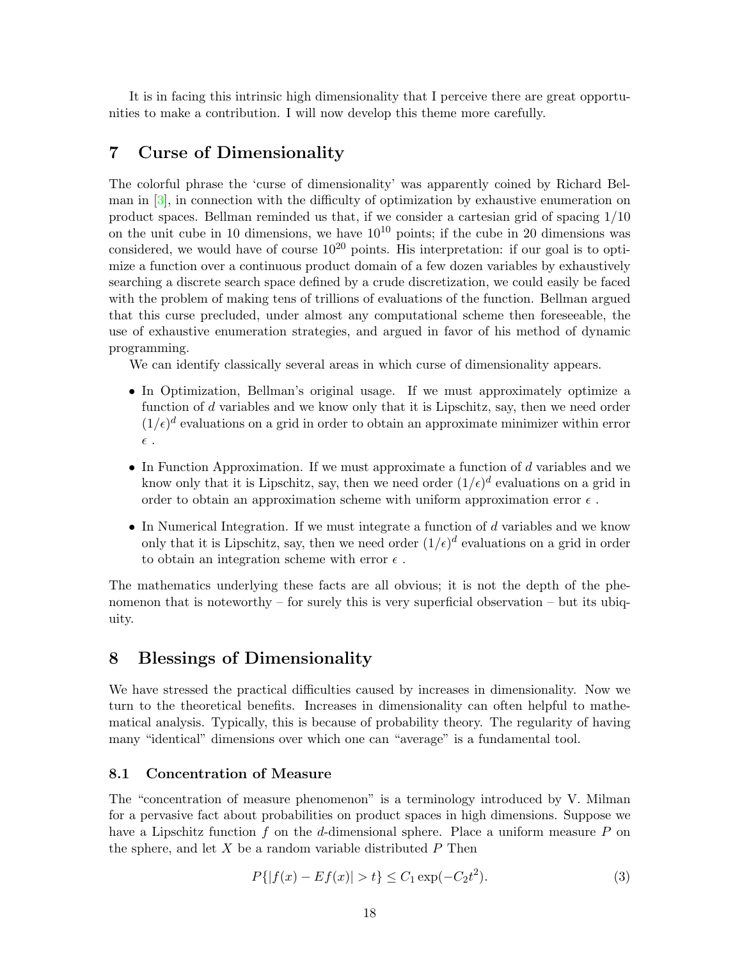It is in facing this intrinsic high dimensionality that I perceive there are great opportunities to make a contribution. I will now develop this theme more carefully.

# **7 Curse of Dimensionality**

The colorful phrase the 'curse of dimensionality' was apparently coined by Richard Belman in [\[3\]](#page-29-8), in connection with the difficulty of optimization by exhaustive enumeration on product spaces. Bellman reminded us that, if we consider a cartesian grid of spacing 1*/*10 on the unit cube in 10 dimensions, we have  $10^{10}$  points; if the cube in 20 dimensions was considered, we would have of course  $10^{20}$  points. His interpretation: if our goal is to optimize a function over a continuous product domain of a few dozen variables by exhaustively searching a discrete search space defined by a crude discretization, we could easily be faced with the problem of making tens of trillions of evaluations of the function. Bellman argued that this curse precluded, under almost any computational scheme then foreseeable, the use of exhaustive enumeration strategies, and argued in favor of his method of dynamic programming.

We can identify classically several areas in which curse of dimensionality appears.

- In Optimization, Bellman's original usage. If we must approximately optimize a function of *d* variables and we know only that it is Lipschitz, say, then we need order  $(1/\epsilon)^d$  evaluations on a grid in order to obtain an approximate minimizer within error  $\epsilon$  .
- In Function Approximation. If we must approximate a function of *d* variables and we know only that it is Lipschitz, say, then we need order  $(1/\epsilon)^d$  evaluations on a grid in order to obtain an approximation scheme with uniform approximation error  $\epsilon$ .
- In Numerical Integration. If we must integrate a function of *d* variables and we know only that it is Lipschitz, say, then we need order  $(1/\epsilon)^d$  evaluations on a grid in order to obtain an integration scheme with error  $\epsilon$ .

The mathematics underlying these facts are all obvious; it is not the depth of the phenomenon that is noteworthy – for surely this is very superficial observation – but its ubiquity.

# **8 Blessings of Dimensionality**

We have stressed the practical difficulties caused by increases in dimensionality. Now we turn to the theoretical benefits. Increases in dimensionality can often helpful to mathematical analysis. Typically, this is because of probability theory. The regularity of having many "identical" dimensions over which one can "average" is a fundamental tool.

#### **8.1 Concentration of Measure**

The "concentration of measure phenomenon" is a terminology introduced by V. Milman for a pervasive fact about probabilities on product spaces in high dimensions. Suppose we have a Lipschitz function *f* on the *d*-dimensional sphere. Place a uniform measure *P* on the sphere, and let *X* be a random variable distributed *P* Then

<span id="page-17-0"></span>
$$
P\{|f(x) - Ef(x)| > t\} \le C_1 \exp(-C_2 t^2). \tag{3}
$$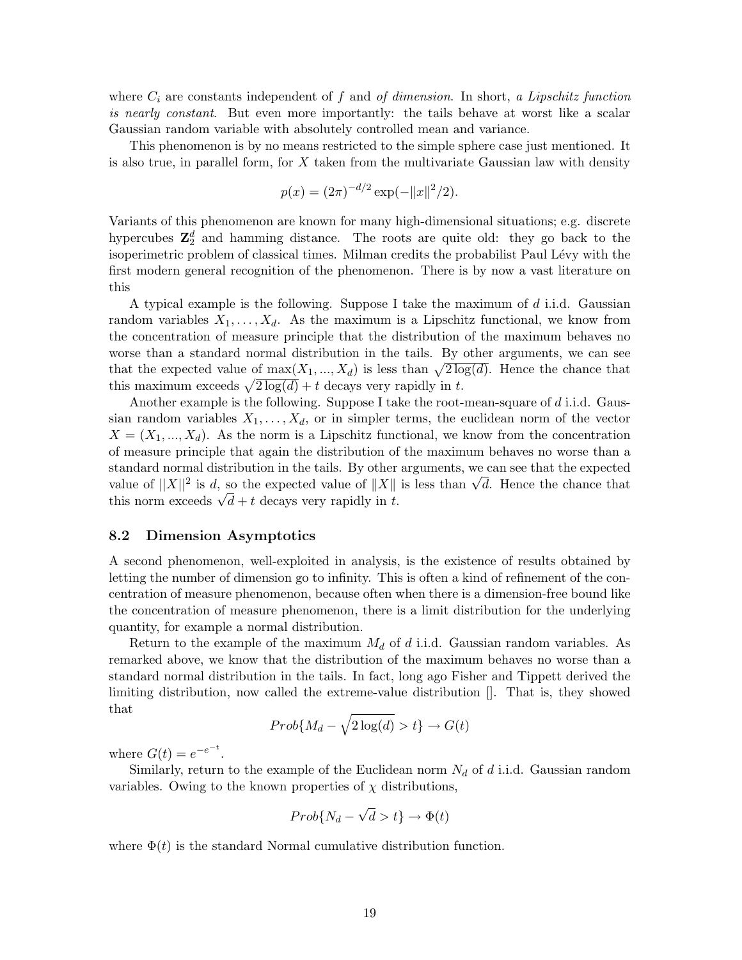where  $C_i$  are constants independent of  $f$  and of dimension. In short, a Lipschitz function is nearly constant. But even more importantly: the tails behave at worst like a scalar Gaussian random variable with absolutely controlled mean and variance.

This phenomenon is by no means restricted to the simple sphere case just mentioned. It is also true, in parallel form, for *X* taken from the multivariate Gaussian law with density

$$
p(x) = (2\pi)^{-d/2} \exp(-\|x\|^2/2).
$$

Variants of this phenomenon are known for many high-dimensional situations; e.g. discrete hypercubes  $\mathbb{Z}_2^d$  and hamming distance. The roots are quite old: they go back to the isoperimetric problem of classical times. Milman credits the probabilist Paul Lévy with the first modern general recognition of the phenomenon. There is by now a vast literature on this

A typical example is the following. Suppose I take the maximum of *d* i.i.d. Gaussian random variables  $X_1, \ldots, X_d$ . As the maximum is a Lipschitz functional, we know from the concentration of measure principle that the distribution of the maximum behaves no worse than a standard normal distribution in the tails. By other arguments, we can see that the expected value of  $\max(X_1, ..., X_d)$  is less than  $\sqrt{2 \log(d)}$ . Hence the chance that this maximum exceeds  $\sqrt{2 \log(d)} + t$  decays very rapidly in *t*.

Another example is the following. Suppose I take the root-mean-square of *d* i.i.d. Gaussian random variables  $X_1, \ldots, X_d$ , or in simpler terms, the euclidean norm of the vector  $X = (X_1, \ldots, X_d)$ . As the norm is a Lipschitz functional, we know from the concentration of measure principle that again the distribution of the maximum behaves no worse than a standard normal distribution in the tails. By other arguments, we can see that the expected standard normal distribution in the tails. By other arguments, we can see that the expected<br>value of  $||X||^2$  is *d*, so the expected value of  $||X||$  is less than  $\sqrt{d}$ . Hence the chance that value of  $||A||$  is *d*, so the expected value of  $||A||$ <br>this norm exceeds  $\sqrt{d} + t$  decays very rapidly in *t*.

#### **8.2 Dimension Asymptotics**

A second phenomenon, well-exploited in analysis, is the existence of results obtained by letting the number of dimension go to infinity. This is often a kind of refinement of the concentration of measure phenomenon, because often when there is a dimension-free bound like the concentration of measure phenomenon, there is a limit distribution for the underlying quantity, for example a normal distribution.

Return to the example of the maximum  $M_d$  of d i.i.d. Gaussian random variables. As remarked above, we know that the distribution of the maximum behaves no worse than a standard normal distribution in the tails. In fact, long ago Fisher and Tippett derived the limiting distribution, now called the extreme-value distribution []. That is, they showed that

$$
Prob\{M_d - \sqrt{2\log(d)} > t\} \to G(t)
$$

where  $G(t) = e^{-e^{-t}}$ .

Similarly, return to the example of the Euclidean norm  $N_d$  of  $d$  i.i.d. Gaussian random variables. Owing to the known properties of  $\chi$  distributions,

$$
Prob\{N_d - \sqrt{d} > t\} \to \Phi(t)
$$

where  $\Phi(t)$  is the standard Normal cumulative distribution function.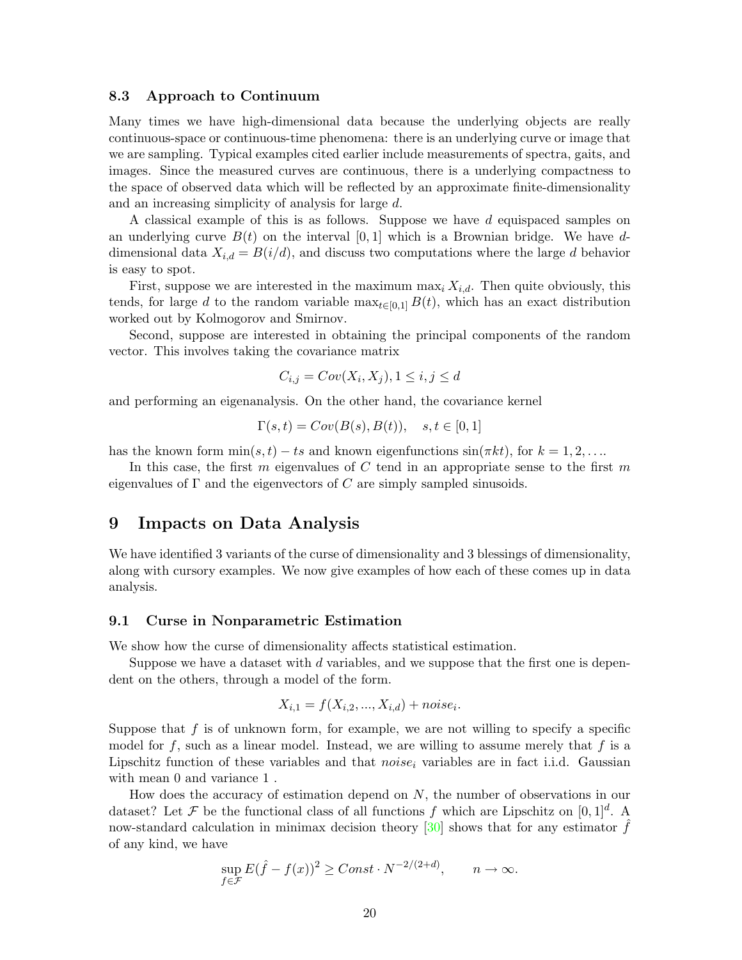#### **8.3 Approach to Continuum**

Many times we have high-dimensional data because the underlying objects are really continuous-space or continuous-time phenomena: there is an underlying curve or image that we are sampling. Typical examples cited earlier include measurements of spectra, gaits, and images. Since the measured curves are continuous, there is a underlying compactness to the space of observed data which will be reflected by an approximate finite-dimensionality and an increasing simplicity of analysis for large *d*.

A classical example of this is as follows. Suppose we have *d* equispaced samples on an underlying curve  $B(t)$  on the interval  $[0,1]$  which is a Brownian bridge. We have ddimensional data  $X_{i,d} = B(i/d)$ , and discuss two computations where the large d behavior is easy to spot.

First, suppose we are interested in the maximum max<sub>i</sub>  $X_{i,d}$ . Then quite obviously, this tends, for large *d* to the random variable  $\max_{t\in[0,1]} B(t)$ , which has an exact distribution worked out by Kolmogorov and Smirnov.

Second, suppose are interested in obtaining the principal components of the random vector. This involves taking the covariance matrix

$$
C_{i,j} = Cov(X_i, X_j), 1 \le i, j \le d
$$

and performing an eigenanalysis. On the other hand, the covariance kernel

$$
\Gamma(s,t) = Cov(B(s), B(t)), \quad s, t \in [0,1]
$$

has the known form  $\min(s, t) - ts$  and known eigenfunctions  $\sin(\pi kt)$ , for  $k = 1, 2, \ldots$ 

In this case, the first *m* eigenvalues of *C* tend in an appropriate sense to the first *m* eigenvalues of Γ and the eigenvectors of *C* are simply sampled sinusoids.

# **9 Impacts on Data Analysis**

We have identified 3 variants of the curse of dimensionality and 3 blessings of dimensionality, along with cursory examples. We now give examples of how each of these comes up in data analysis.

#### **9.1 Curse in Nonparametric Estimation**

We show how the curse of dimensionality affects statistical estimation.

Suppose we have a dataset with *d* variables, and we suppose that the first one is dependent on the others, through a model of the form.

$$
X_{i,1} = f(X_{i,2}, ..., X_{i,d}) + noise_i.
$$

Suppose that *f* is of unknown form, for example, we are not willing to specify a specific model for  $f$ , such as a linear model. Instead, we are willing to assume merely that  $f$  is a Lipschitz function of these variables and that *noise*<sup>i</sup> variables are in fact i.i.d. Gaussian with mean 0 and variance 1.

How does the accuracy of estimation depend on *N*, the number of observations in our dataset? Let F be the functional class of all functions f which are Lipschitz on  $[0,1]^d$ . A now-standard calculation in minimax decision theory  $[30]$  shows that for any estimator  $\hat{f}$ of any kind, we have

$$
\sup_{f \in \mathcal{F}} E(\hat{f} - f(x))^2 \geq Const \cdot N^{-2/(2+d)}, \qquad n \to \infty.
$$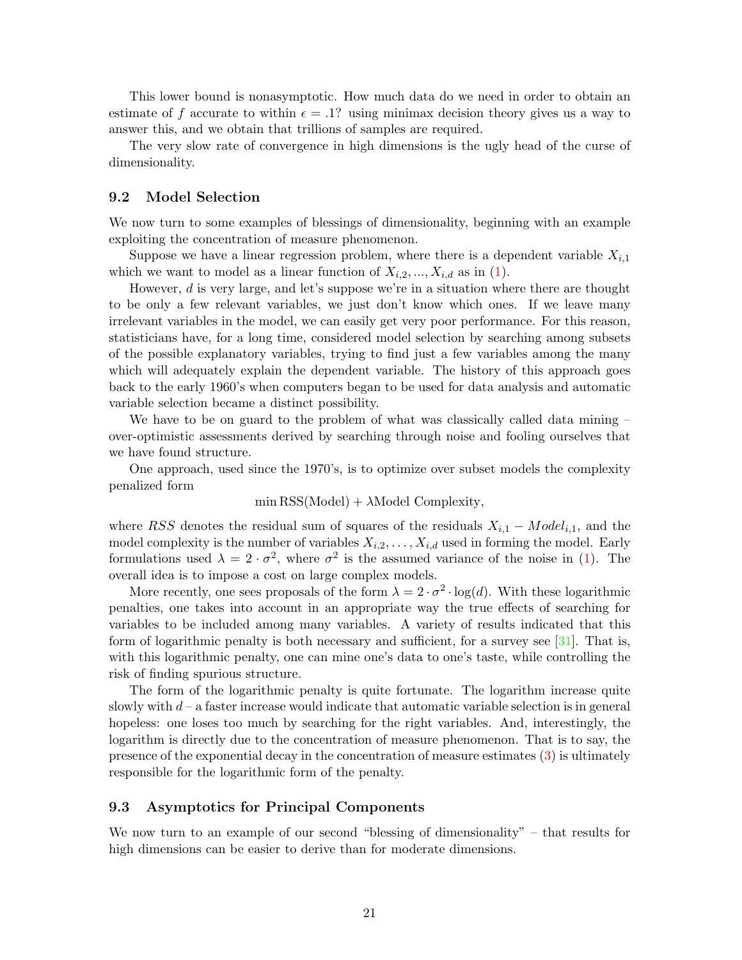This lower bound is nonasymptotic. How much data do we need in order to obtain an estimate of f accurate to within  $\epsilon = .1$ ? using minimax decision theory gives us a way to answer this, and we obtain that trillions of samples are required.

The very slow rate of convergence in high dimensions is the ugly head of the curse of dimensionality.

#### **9.2** Model Selection

We now turn to some examples of blessings of dimensionality, beginning with an example exploiting the concentration of measure phenomenon.

Suppose we have a linear regression problem, where there is a dependent variable  $X_{i,1}$ which we want to model as a linear function of  $X_{i,2},..., X_{i,d}$  as in [\(1\)](#page-12-0).

However, *d* is very large, and let's suppose we're in a situation where there are thought to be only a few relevant variables, we just don't know which ones. If we leave many irrelevant variables in the model, we can easily get very poor performance. For this reason, statisticians have, for a long time, considered model selection by searching among subsets of the possible explanatory variables, trying to find just a few variables among the many which will adequately explain the dependent variable. The history of this approach goes back to the early 1960's when computers began to be used for data analysis and automatic variable selection became a distinct possibility.

We have to be on guard to the problem of what was classically called data mining – over-optimistic assessments derived by searching through noise and fooling ourselves that we have found structure.

One approach, used since the 1970's, is to optimize over subset models the complexity penalized form

$$
min
$$
 RSS $(Model)$  +  $\lambda$ Model Complexity,

where *RSS* denotes the residual sum of squares of the residuals  $X_{i,1} - Model_{i,1}$ , and the model complexity is the number of variables  $X_{i,2},\ldots,X_{i,d}$  used in forming the model. Early formulations used  $\lambda = 2 \cdot \sigma^2$ , where  $\sigma^2$  is the assumed variance of the noise in [\(1\)](#page-12-0). The overall idea is to impose a cost on large complex models.

More recently, one sees proposals of the form  $\lambda = 2 \cdot \sigma^2 \cdot \log(d)$ . With these logarithmic penalties, one takes into account in an appropriate way the true effects of searching for variables to be included among many variables. A variety of results indicated that this form of logarithmic penalty is both necessary and sufficient, for a survey see [\[31\]](#page-30-8). That is, with this logarithmic penalty, one can mine one's data to one's taste, while controlling the risk of finding spurious structure.

The form of the logarithmic penalty is quite fortunate. The logarithm increase quite slowly with *d* – a faster increase would indicate that automatic variable selection is in general hopeless: one loses too much by searching for the right variables. And, interestingly, the logarithm is directly due to the concentration of measure phenomenon. That is to say, the presence of the exponential decay in the concentration of measure estimates [\(3\)](#page-17-0) is ultimately responsible for the logarithmic form of the penalty.

### **9.3 Asymptotics for PrincipalComponents**

We now turn to an example of our second "blessing of dimensionality" – that results for high dimensions can be easier to derive than for moderate dimensions.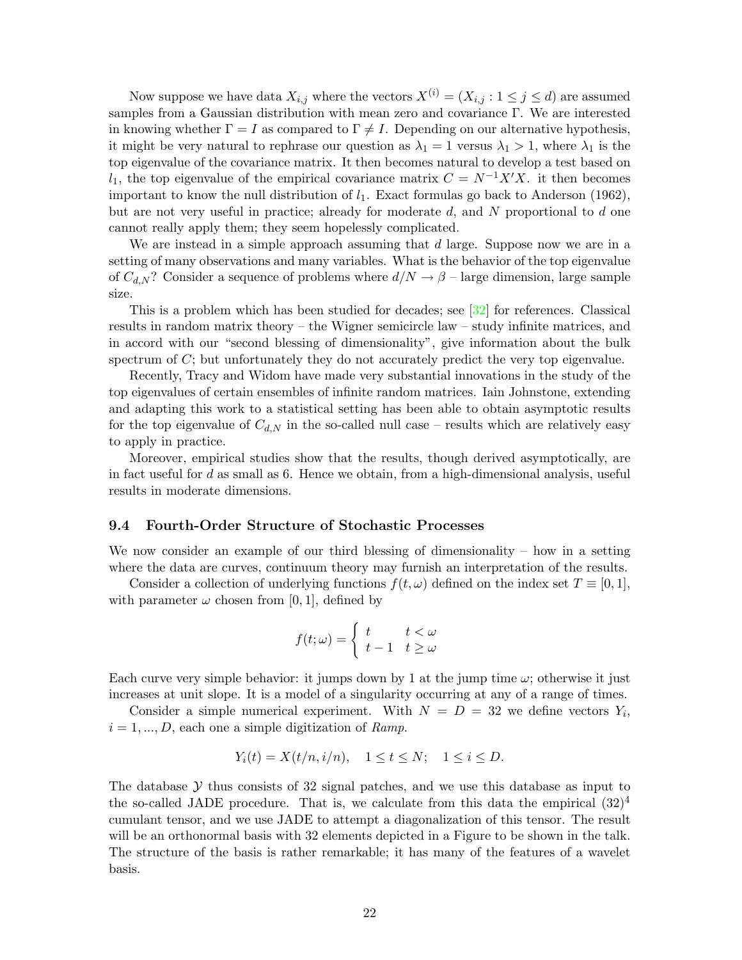Now suppose we have data  $X_{i,j}$  where the vectors  $X^{(i)} = (X_{i,j} : 1 \leq j \leq d)$  are assumed samples from a Gaussian distribution with mean zero and covariance Γ. We are interested in knowing whether  $\Gamma = I$  as compared to  $\Gamma \neq I$ . Depending on our alternative hypothesis, it might be very natural to rephrase our question as  $\lambda_1 = 1$  versus  $\lambda_1 > 1$ , where  $\lambda_1$  is the top eigenvalue of the covariance matrix. It then becomes natural to develop a test based on *l*<sub>1</sub>, the top eigenvalue of the empirical covariance matrix  $C = N^{-1}X'X$ . it then becomes important to know the null distribution of  $l_1$ . Exact formulas go back to Anderson (1962), but are not very useful in practice; already for moderate *d*, and *N* proportional to *d* one cannot really apply them; they seem hopelessly complicated.

We are instead in a simple approach assuming that *d* large. Suppose now we are in a setting of many observations and many variables. What is the behavior of the top eigenvalue of  $C_{d,N}$ ? Consider a sequence of problems where  $d/N \to \beta$  – large dimension, large sample size.

This is a problem which has been studied for decades; see [\[32\]](#page-30-9) for references. Classical results in random matrix theory – the Wigner semicircle law – study infinite matrices, and in accord with our "second blessing of dimensionality", give information about the bulk spectrum of *C*; but unfortunately they do not accurately predict the very top eigenvalue.

Recently, Tracy and Widom have made very substantial innovations in the study of the top eigenvalues of certain ensembles of infinite random matrices. Iain Johnstone, extending and adapting this work to a statistical setting has been able to obtain asymptotic results for the top eigenvalue of  $C_{d,N}$  in the so-called null case – results which are relatively easy to apply in practice.

Moreover, empirical studies show that the results, though derived asymptotically, are in fact useful for *d* as small as 6. Hence we obtain, from a high-dimensional analysis, useful results in moderate dimensions.

#### **9.4 Fourth-Order Structure of Stochastic Processes**

We now consider an example of our third blessing of dimensionality – how in a setting where the data are curves, continuum theory may furnish an interpretation of the results.

Consider a collection of underlying functions  $f(t, \omega)$  defined on the index set  $T \equiv [0, 1]$ , with parameter  $\omega$  chosen from [0, 1], defined by

$$
f(t; \omega) = \begin{cases} t & t < \omega \\ t - 1 & t \ge \omega \end{cases}
$$

Each curve very simple behavior: it jumps down by 1 at the jump time  $\omega$ ; otherwise it just increases at unit slope. It is a model of a singularity occurring at any of a range of times.

Consider a simple numerical experiment. With  $N = D = 32$  we define vectors  $Y_i$ ,  $i = 1, ..., D$ , each one a simple digitization of Ramp.

$$
Y_i(t) = X(t/n, i/n), \quad 1 \le t \le N; \quad 1 \le i \le D.
$$

The database  $\mathcal Y$  thus consists of 32 signal patches, and we use this database as input to the so-called JADE procedure. That is, we calculate from this data the empirical  $(32)^4$ cumulant tensor, and we use JADE to attempt a diagonalization of this tensor. The result will be an orthonormal basis with 32 elements depicted in a Figure to be shown in the talk. The structure of the basis is rather remarkable; it has many of the features of a wavelet basis.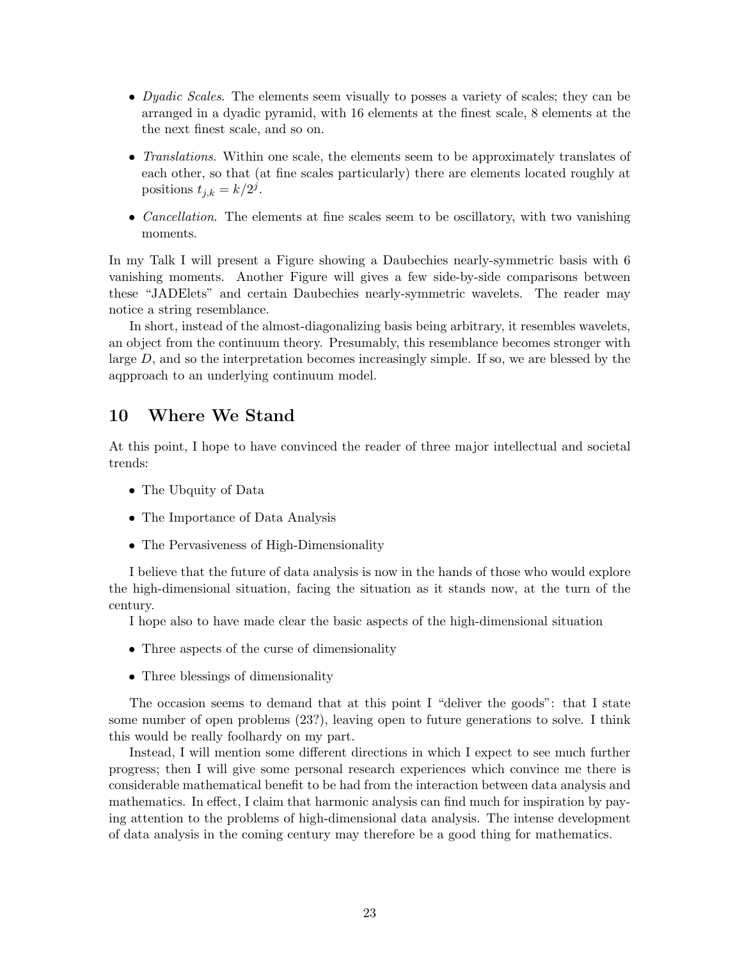- *Dyadic Scales*. The elements seem visually to posses a variety of scales; they can be arranged in a dyadic pyramid, with 16 elements at the finest scale, 8 elements at the the next finest scale, and so on.
- Translations. Within one scale, the elements seem to be approximately translates of each other, so that (at fine scales particularly) there are elements located roughly at positions  $t_{j,k} = k/2^j$ .
- *Cancellation*. The elements at fine scales seem to be oscillatory, with two vanishing moments.

In my Talk I will present a Figure showing a Daubechies nearly-symmetric basis with 6 vanishing moments. Another Figure will gives a few side-by-side comparisons between these "JADElets" and certain Daubechies nearly-symmetric wavelets. The reader may notice a string resemblance.

In short, instead of the almost-diagonalizing basis being arbitrary, it resembles wavelets, an object from the continuum theory. Presumably, this resemblance becomes stronger with large *D*, and so the interpretation becomes increasingly simple. If so, we are blessed by the aqpproach to an underlying continuum model.

# **10 Where We Stand**

At this point, I hope to have convinced the reader of three major intellectual and societal trends:

- The Ubquity of Data
- The Importance of Data Analysis
- The Pervasiveness of High-Dimensionality

I believe that the future of data analysis is now in the hands of those who would explore the high-dimensional situation, facing the situation as it stands now, at the turn of the century.

I hope also to have made clear the basic aspects of the high-dimensional situation

- Three aspects of the curse of dimensionality
- Three blessings of dimensionality

The occasion seems to demand that at this point I "deliver the goods": that I state some number of open problems (23?), leaving open to future generations to solve. I think this would be really foolhardy on my part.

Instead, I will mention some different directions in which I expect to see much further progress; then I will give some personal research experiences which convince me there is considerable mathematical benefit to be had from the interaction between data analysis and mathematics. In effect, I claim that harmonic analysis can find much for inspiration by paying attention to the problems of high-dimensional data analysis. The intense development of data analysis in the coming century may therefore be a good thing for mathematics.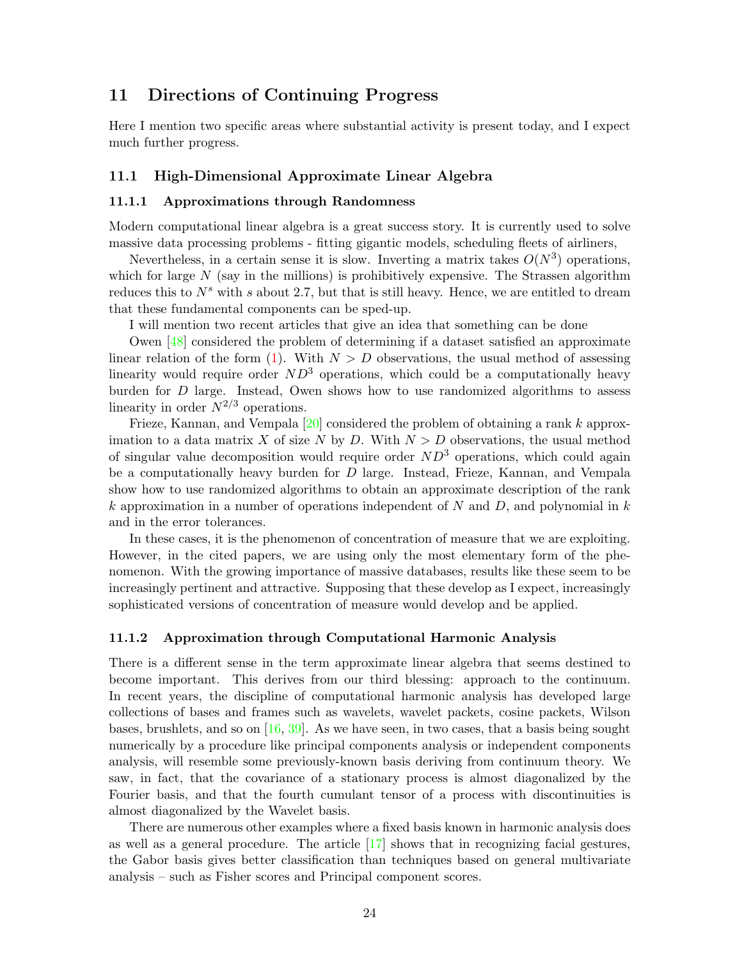# **11 Directions of Continuing Progress**

Here I mention two specific areas where substantial activity is present today, and I expect much further progress.

### **11.1 High-DimensionalApproximate Linear Algebra**

#### **11.1.1 Approximations through Randomness**

Modern computational linear algebra is a great success story. It is currently used to solve massive data processing problems - fitting gigantic models, scheduling fleets of airliners,

Nevertheless, in a certain sense it is slow. Inverting a matrix takes  $O(N^3)$  operations, which for large  $N$  (say in the millions) is prohibitively expensive. The Strassen algorithm reduces this to  $N<sup>s</sup>$  with *s* about 2.7, but that is still heavy. Hence, we are entitled to dream that these fundamental components can be sped-up.

I will mention two recent articles that give an idea that something can be done

Owen [\[48\]](#page-31-11) considered the problem of determining if a dataset satisfied an approximate linear relation of the form  $(1)$ . With  $N > D$  observations, the usual method of assessing linearity would require order *ND*<sup>3</sup> operations, which could be a computationally heavy burden for *D* large. Instead, Owen shows how to use randomized algorithms to assess linearity in order  $N^{2/3}$  operations.

Frieze, Kannan, and Vempala [\[20\]](#page-30-10) considered the problem of obtaining a rank *k* approximation to a data matrix *X* of size *N* by *D*. With  $N > D$  observations, the usual method of singular value decomposition would require order *ND*<sup>3</sup> operations, which could again be a computationally heavy burden for *D* large. Instead, Frieze, Kannan, and Vempala show how to use randomized algorithms to obtain an approximate description of the rank *k* approximation in a number of operations independent of *N* and *D*, and polynomial in *k* and in the error tolerances.

In these cases, it is the phenomenon of concentration of measure that we are exploiting. However, in the cited papers, we are using only the most elementary form of the phenomenon. With the growing importance of massive databases, results like these seem to be increasingly pertinent and attractive. Supposing that these develop as I expect, increasingly sophisticated versions of concentration of measure would develop and be applied.

#### **11.1.2 Approximation through Computational Harmonic Analysis**

There is a different sense in the term approximate linear algebra that seems destined to become important. This derives from our third blessing: approach to the continuum. In recent years, the discipline of computational harmonic analysis has developed large collections of bases and frames such as wavelets, wavelet packets, cosine packets, Wilson bases, brushlets, and so on  $[16, 39]$  $[16, 39]$  $[16, 39]$ . As we have seen, in two cases, that a basis being sought numerically by a procedure like principal components analysis or independent components analysis, will resemble some previously-known basis deriving from continuum theory. We saw, in fact, that the covariance of a stationary process is almost diagonalized by the Fourier basis, and that the fourth cumulant tensor of a process with discontinuities is almost diagonalized by the Wavelet basis.

There are numerous other examples where a fixed basis known in harmonic analysis does as well as a general procedure. The article  $\left[17\right]$  shows that in recognizing facial gestures, the Gabor basis gives better classification than techniques based on general multivariate analysis – such as Fisher scores and Principal component scores.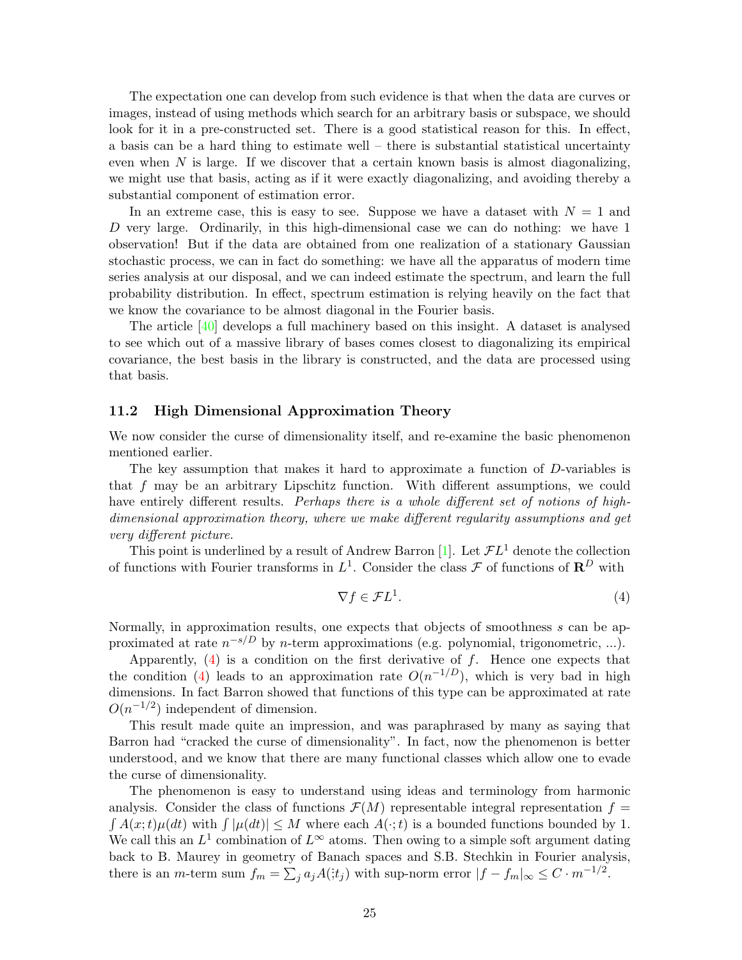The expectation one can develop from such evidence is that when the data are curves or images, instead of using methods which search for an arbitrary basis or subspace, we should look for it in a pre-constructed set. There is a good statistical reason for this. In effect, a basis can be a hard thing to estimate well – there is substantial statistical uncertainty even when *N* is large. If we discover that a certain known basis is almost diagonalizing, we might use that basis, acting as if it were exactly diagonalizing, and avoiding thereby a substantial component of estimation error.

In an extreme case, this is easy to see. Suppose we have a dataset with  $N = 1$  and *D* very large. Ordinarily, in this high-dimensional case we can do nothing: we have 1 observation! But if the data are obtained from one realization of a stationary Gaussian stochastic process, we can in fact do something: we have all the apparatus of modern time series analysis at our disposal, and we can indeed estimate the spectrum, and learn the full probability distribution. In effect, spectrum estimation is relying heavily on the fact that we know the covariance to be almost diagonal in the Fourier basis.

The article [\[40\]](#page-31-13) develops a full machinery based on this insight. A dataset is analysed to see which out of a massive library of bases comes closest to diagonalizing its empirical covariance, the best basis in the library is constructed, and the data are processed using that basis.

#### **11.2 High Dimensional Approximation Theory**

We now consider the curse of dimensionality itself, and re-examine the basic phenomenon mentioned earlier.

The key assumption that makes it hard to approximate a function of *D*-variables is that *f* may be an arbitrary Lipschitz function. With different assumptions, we could have entirely different results. *Perhaps there is a whole different set of notions of high*dimensional approximation theory, where we make different regularity assumptions and get very different picture.

This point is underlined by a result of Andrew Barron [\[1\]](#page-28-0). Let  $\mathcal{F}L^1$  denote the collection of functions with Fourier transforms in  $L^1$ . Consider the class  $\mathcal F$  of functions of  $\mathbb R^D$  with

<span id="page-24-0"></span>
$$
\nabla f \in \mathcal{F}L^1. \tag{4}
$$

Normally, in approximation results, one expects that objects of smoothness *s* can be approximated at rate *n*−s/D by *n*-term approximations (e.g. polynomial, trigonometric, ...).

Apparently, [\(4\)](#page-24-0) is a condition on the first derivative of *f*. Hence one expects that the condition [\(4\)](#page-24-0) leads to an approximation rate  $O(n^{-1/D})$ , which is very bad in high dimensions. In fact Barron showed that functions of this type can be approximated at rate  $O(n^{-1/2})$  independent of dimension.

This result made quite an impression, and was paraphrased by many as saying that Barron had "cracked the curse of dimensionality". In fact, now the phenomenon is better understood, and we know that there are many functional classes which allow one to evade the curse of dimensionality.

The phenomenon is easy to understand using ideas and terminology from harmonic analysis. Consider the class of functions  $\mathcal{F}(M)$  representable integral representation  $f =$  $\int A(x;t)\mu(dt)$  with  $\int |\mu(dt)| \leq M$  where each  $A(\cdot;t)$  is a bounded functions bounded by 1. We call this an  $L^1$  combination of  $L^\infty$  atoms. Then owing to a simple soft argument dating back to B. Maurey in geometry of Banach spaces and S.B. Stechkin in Fourier analysis, there is an *m*-term sum  $f_m = \sum_j a_j A(i; t_j)$  with sup-norm error  $|f - f_m|_{\infty} \leq C \cdot m^{-1/2}$ .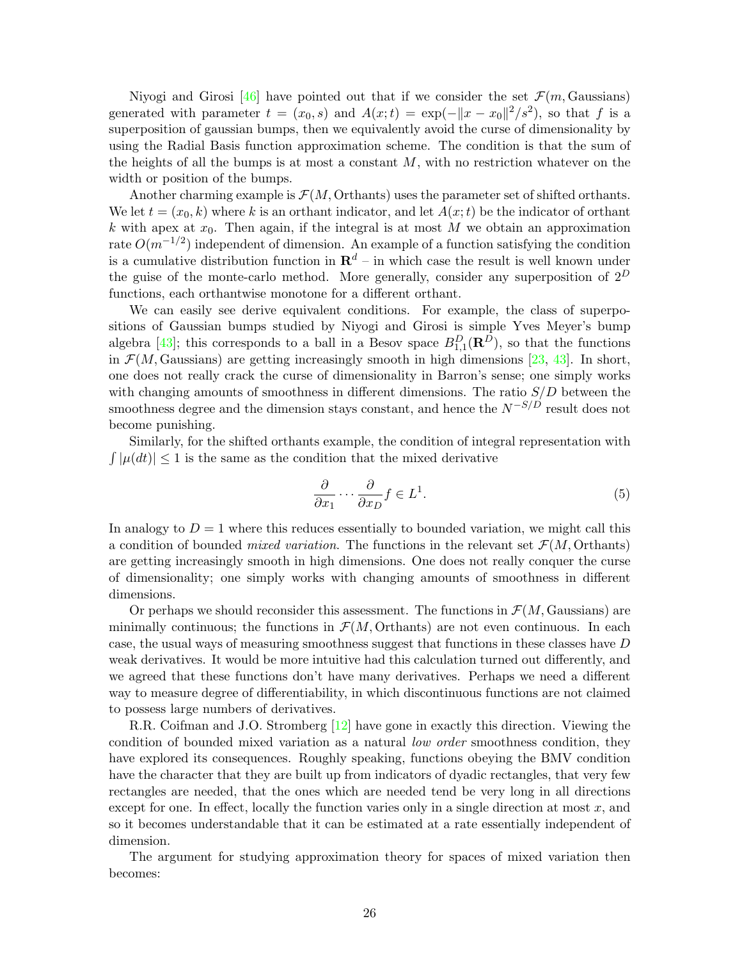Niyogi and Girosi [\[46\]](#page-31-14) have pointed out that if we consider the set  $\mathcal{F}(m, \text{Gaussians})$ generated with parameter  $t = (x_0, s)$  and  $A(x; t) = \exp(-||x - x_0||^2/s^2)$ , so that f is a superposition of gaussian bumps, then we equivalently avoid the curse of dimensionality by using the Radial Basis function approximation scheme. The condition is that the sum of the heights of all the bumps is at most a constant *M*, with no restriction whatever on the width or position of the bumps.

Another charming example is  $\mathcal{F}(M)$ , Orthants) uses the parameter set of shifted orthants. We let  $t = (x_0, k)$  where k is an orthant indicator, and let  $A(x; t)$  be the indicator of orthant  $k$  with apex at  $x_0$ . Then again, if the integral is at most M we obtain an approximation rate  $O(m^{-1/2})$  independent of dimension. An example of a function satisfying the condition is a cumulative distribution function in  $\mathbb{R}^d$  – in which case the result is well known under the guise of the monte-carlo method. More generally, consider any superposition of  $2^D$ functions, each orthantwise monotone for a different orthant.

We can easily see derive equivalent conditions. For example, the class of superpositions of Gaussian bumps studied by Niyogi and Girosi is simple Yves Meyer's bump algebra [\[43\]](#page-31-15); this corresponds to a ball in a Besov space  $B_{1,1}^D(\mathbf{R}^D)$ , so that the functions in  $\mathcal{F}(M, \text{Gaussians})$  are getting increasingly smooth in high dimensions [\[23,](#page-30-11) [43\]](#page-31-15). In short, one does not really crack the curse of dimensionality in Barron's sense; one simply works with changing amounts of smoothness in different dimensions. The ratio *S/D* between the smoothness degree and the dimension stays constant, and hence the  $N^{-S/D}$  result does not become punishing.

Similarly, for the shifted orthants example, the condition of integral representation with  $|\int |\mu(dt)| \leq 1$  is the same as the condition that the mixed derivative

$$
\frac{\partial}{\partial x_1} \cdots \frac{\partial}{\partial x_D} f \in L^1.
$$
\n(5)

In analogy to  $D = 1$  where this reduces essentially to bounded variation, we might call this a condition of bounded *mixed variation*. The functions in the relevant set  $\mathcal{F}(M, \text{Orthants})$ are getting increasingly smooth in high dimensions. One does not really conquer the curse of dimensionality; one simply works with changing amounts of smoothness in different dimensions.

Or perhaps we should reconsider this assessment. The functions in  $\mathcal{F}(M)$ , Gaussians) are minimally continuous; the functions in  $\mathcal{F}(M, \text{Orthants})$  are not even continuous. In each case, the usual ways of measuring smoothness suggest that functions in these classes have *D* weak derivatives. It would be more intuitive had this calculation turned out differently, and we agreed that these functions don't have many derivatives. Perhaps we need a different way to measure degree of differentiability, in which discontinuous functions are not claimed to possess large numbers of derivatives.

R.R. Coifman and J.O. Stromberg [\[12\]](#page-29-11) have gone in exactly this direction. Viewing the condition of bounded mixed variation as a natural *low order* smoothness condition, they have explored its consequences. Roughly speaking, functions obeying the BMV condition have the character that they are built up from indicators of dyadic rectangles, that very few rectangles are needed, that the ones which are needed tend be very long in all directions except for one. In effect, locally the function varies only in a single direction at most *x*, and so it becomes understandable that it can be estimated at a rate essentially independent of dimension.

The argument for studying approximation theory for spaces of mixed variation then becomes: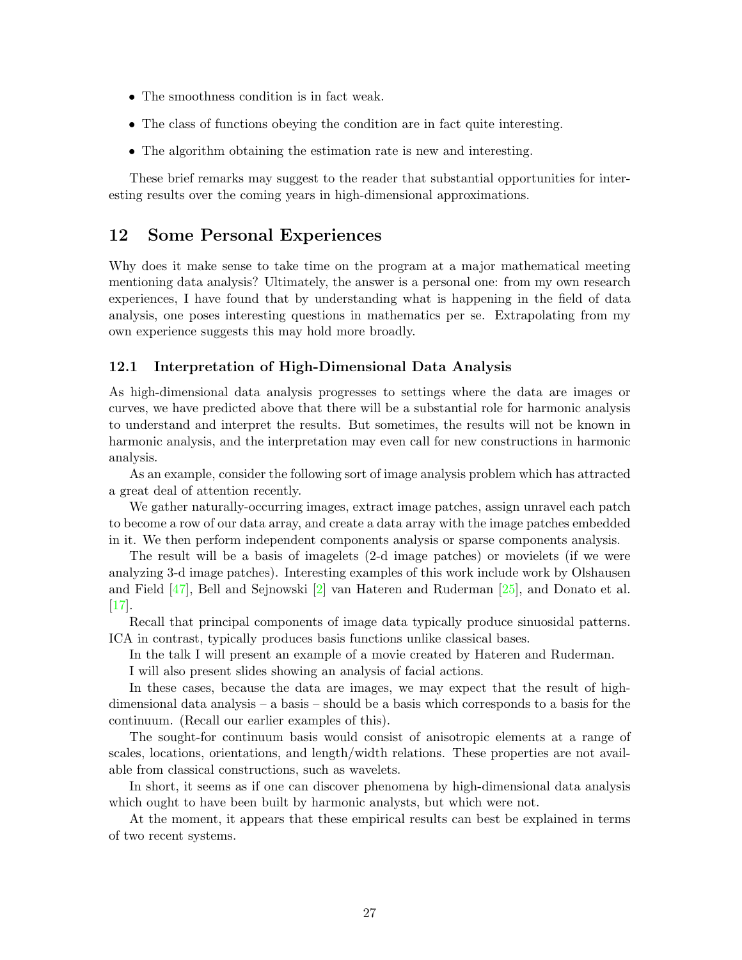- The smoothness condition is in fact weak.
- The class of functions obeying the condition are in fact quite interesting.
- The algorithm obtaining the estimation rate is new and interesting.

These brief remarks may suggest to the reader that substantial opportunities for interesting results over the coming years in high-dimensional approximations.

# **12 Some PersonalExperiences**

Why does it make sense to take time on the program at a major mathematical meeting mentioning data analysis? Ultimately, the answer is a personal one: from my own research experiences, I have found that by understanding what is happening in the field of data analysis, one poses interesting questions in mathematics per se. Extrapolating from my own experience suggests this may hold more broadly.

### 12.1 Interpretation of High-Dimensional Data Analysis

As high-dimensional data analysis progresses to settings where the data are images or curves, we have predicted above that there will be a substantial role for harmonic analysis to understand and interpret the results. But sometimes, the results will not be known in harmonic analysis, and the interpretation may even call for new constructions in harmonic analysis.

As an example, consider the following sort of image analysis problem which has attracted a great deal of attention recently.

We gather naturally-occurring images, extract image patches, assign unravel each patch to become a row of our data array, and create a data array with the image patches embedded in it. We then perform independent components analysis or sparse components analysis.

The result will be a basis of imagelets (2-d image patches) or movielets (if we were analyzing 3-d image patches). Interesting examples of this work include work by Olshausen and Field [\[47\]](#page-31-16), Bell and Sejnowski [\[2\]](#page-29-6) van Hateren and Ruderman [\[25\]](#page-30-12), and Donato et al. [\[17\]](#page-29-10).

Recall that principal components of image data typically produce sinuosidal patterns. ICA in contrast, typically produces basis functions unlike classical bases.

In the talk I will present an example of a movie created by Hateren and Ruderman.

I will also present slides showing an analysis of facial actions.

In these cases, because the data are images, we may expect that the result of highdimensional data analysis – a basis – should be a basis which corresponds to a basis for the continuum. (Recall our earlier examples of this).

The sought-for continuum basis would consist of anisotropic elements at a range of scales, locations, orientations, and length/width relations. These properties are not available from classical constructions, such as wavelets.

In short, it seems as if one can discover phenomena by high-dimensional data analysis which ought to have been built by harmonic analysts, but which were not.

At the moment, it appears that these empirical results can best be explained in terms of two recent systems.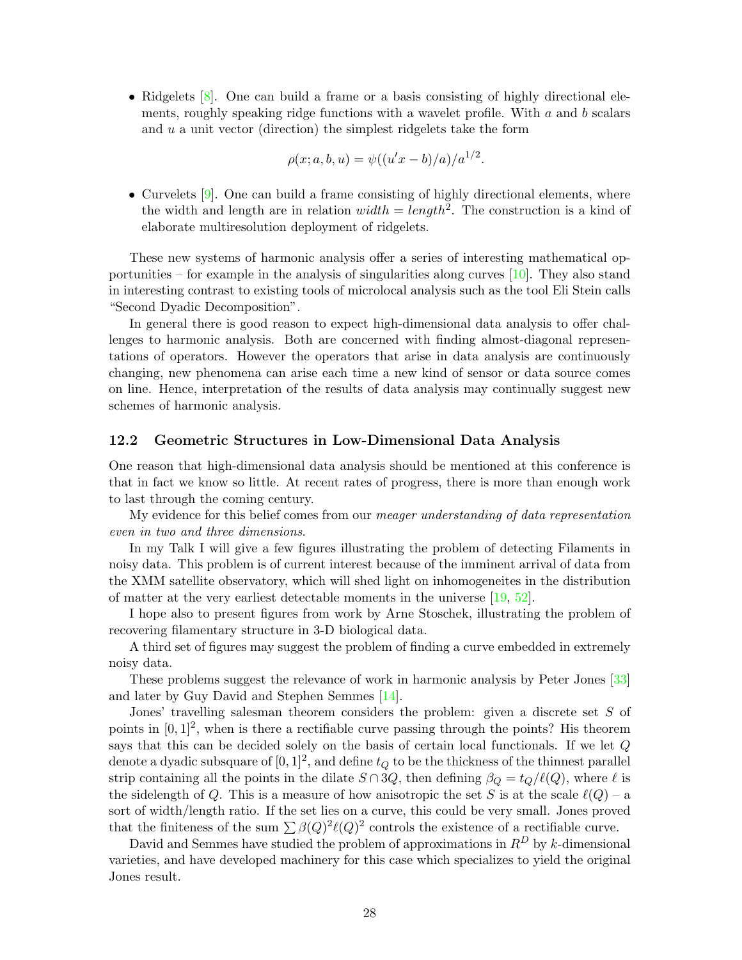• Ridgelets  $[8]$ . One can build a frame or a basis consisting of highly directional elements, roughly speaking ridge functions with a wavelet profile. With *a* and *b* scalars and *u* a unit vector (direction) the simplest ridgelets take the form

$$
\rho(x;a,b,u) = \psi((u'x - b)/a)/a^{1/2}.
$$

• Curvelets  $[9]$ . One can build a frame consisting of highly directional elements, where the width and length are in relation  $width = length^2$ . The construction is a kind of elaborate multiresolution deployment of ridgelets.

These new systems of harmonic analysis offer a series of interesting mathematical opportunities – for example in the analysis of singularities along curves [\[10\]](#page-29-14). They also stand in interesting contrast to existing tools of microlocal analysis such as the tool Eli Stein calls "Second Dyadic Decomposition".

In general there is good reason to expect high-dimensional data analysis to offer challenges to harmonic analysis. Both are concerned with finding almost-diagonal representations of operators. However the operators that arise in data analysis are continuously changing, new phenomena can arise each time a new kind of sensor or data source comes on line. Hence, interpretation of the results of data analysis may continually suggest new schemes of harmonic analysis.

#### **12.2 Geometric Structures in Low-DimensionalData Analysis**

One reason that high-dimensional data analysis should be mentioned at this conference is that in fact we know so little. At recent rates of progress, there is more than enough work to last through the coming century.

My evidence for this belief comes from our meager understanding of data representation even in two and three dimensions.

In my Talk I will give a few figures illustrating the problem of detecting Filaments in noisy data. This problem is of current interest because of the imminent arrival of data from the XMM satellite observatory, which will shed light on inhomogeneites in the distribution of matter at the very earliest detectable moments in the universe [\[19,](#page-29-15) [52\]](#page-31-17).

I hope also to present figures from work by Arne Stoschek, illustrating the problem of recovering filamentary structure in 3-D biological data.

A third set of figures may suggest the problem of finding a curve embedded in extremely noisy data.

These problems suggest the relevance of work in harmonic analysis by Peter Jones [\[33\]](#page-30-13) and later by Guy David and Stephen Semmes [\[14\]](#page-29-16).

Jones' travelling salesman theorem considers the problem: given a discrete set *S* of points in  $[0, 1]^2$ , when is there a rectifiable curve passing through the points? His theorem says that this can be decided solely on the basis of certain local functionals. If we let *Q* denote a dyadic subsquare of  $[0, 1]^2$ , and define  $t_Q$  to be the thickness of the thinnest parallel strip containing all the points in the dilate  $S \cap 3Q$ , then defining  $\beta_Q = t_Q/\ell(Q)$ , where  $\ell$  is the sidelength of *Q*. This is a measure of how anisotropic the set *S* is at the scale  $\ell(Q)$  – a sort of width/length ratio. If the set lies on a curve, this could be very small. Jones proved that the finiteness of the sum  $\sum \beta(Q)^2 \ell(Q)^2$  controls the existence of a rectifiable curve.

David and Semmes have studied the problem of approximations in  $R^D$  by *k*-dimensional varieties, and have developed machinery for this case which specializes to yield the original Jones result.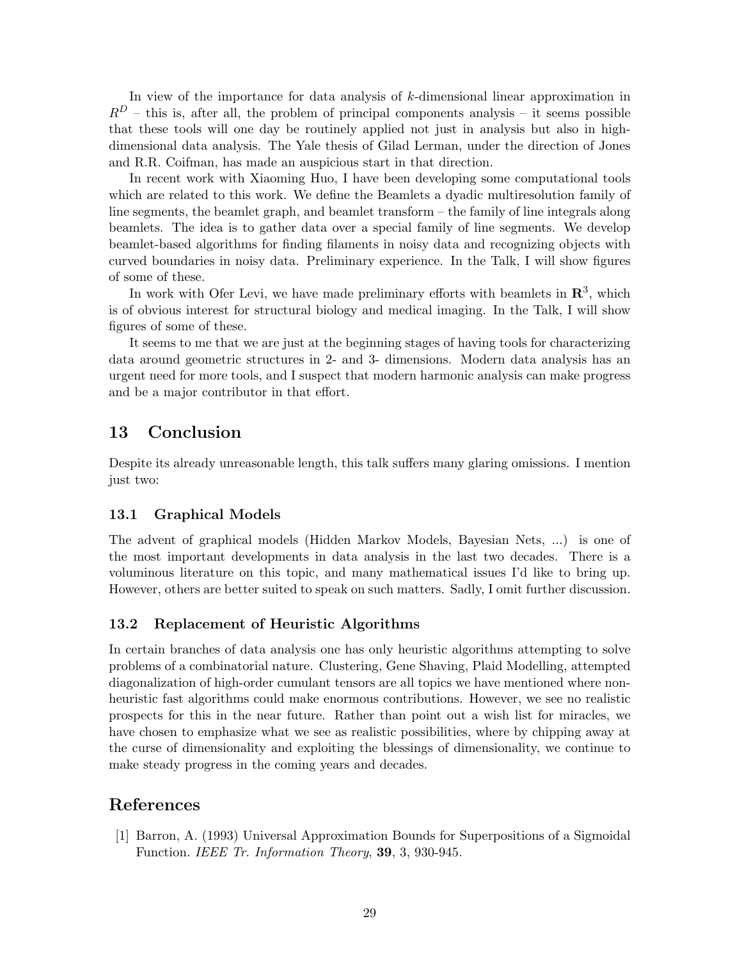In view of the importance for data analysis of *k*-dimensional linear approximation in  $R<sup>D</sup>$  – this is, after all, the problem of principal components analysis – it seems possible that these tools will one day be routinely applied not just in analysis but also in highdimensional data analysis. The Yale thesis of Gilad Lerman, under the direction of Jones and R.R. Coifman, has made an auspicious start in that direction.

In recent work with Xiaoming Huo, I have been developing some computational tools which are related to this work. We define the Beamlets a dyadic multiresolution family of line segments, the beamlet graph, and beamlet transform – the family of line integrals along beamlets. The idea is to gather data over a special family of line segments. We develop beamlet-based algorithms for finding filaments in noisy data and recognizing objects with curved boundaries in noisy data. Preliminary experience. In the Talk, I will show figures of some of these.

In work with Ofer Levi, we have made preliminary efforts with beamlets in  $\mathbb{R}^3$ , which is of obvious interest for structural biology and medical imaging. In the Talk, I will show figures of some of these.

It seems to me that we are just at the beginning stages of having tools for characterizing data around geometric structures in 2- and 3- dimensions. Modern data analysis has an urgent need for more tools, and I suspect that modern harmonic analysis can make progress and be a major contributor in that effort.

# **13 Conclusion**

Despite its already unreasonable length, this talk suffers many glaring omissions. I mention just two:

### 13.1 Graphical Models

The advent of graphical models (Hidden Markov Models, Bayesian Nets, ...) is one of the most important developments in data analysis in the last two decades. There is a voluminous literature on this topic, and many mathematical issues I'd like to bring up. However, others are better suited to speak on such matters. Sadly, I omit further discussion.

### **13.2 Replacement of Heuristic Algorithms**

In certain branches of data analysis one has only heuristic algorithms attempting to solve problems of a combinatorial nature. Clustering, Gene Shaving, Plaid Modelling, attempted diagonalization of high-order cumulant tensors are all topics we have mentioned where nonheuristic fast algorithms could make enormous contributions. However, we see no realistic prospects for this in the near future. Rather than point out a wish list for miracles, we have chosen to emphasize what we see as realistic possibilities, where by chipping away at the curse of dimensionality and exploiting the blessings of dimensionality, we continue to make steady progress in the coming years and decades.

# <span id="page-28-0"></span>**References**

[1] Barron, A. (1993) Universal Approximation Bounds for Superpositions of a Sigmoidal Function. IEEE Tr. Information Theory, **39**, 3, 930-945.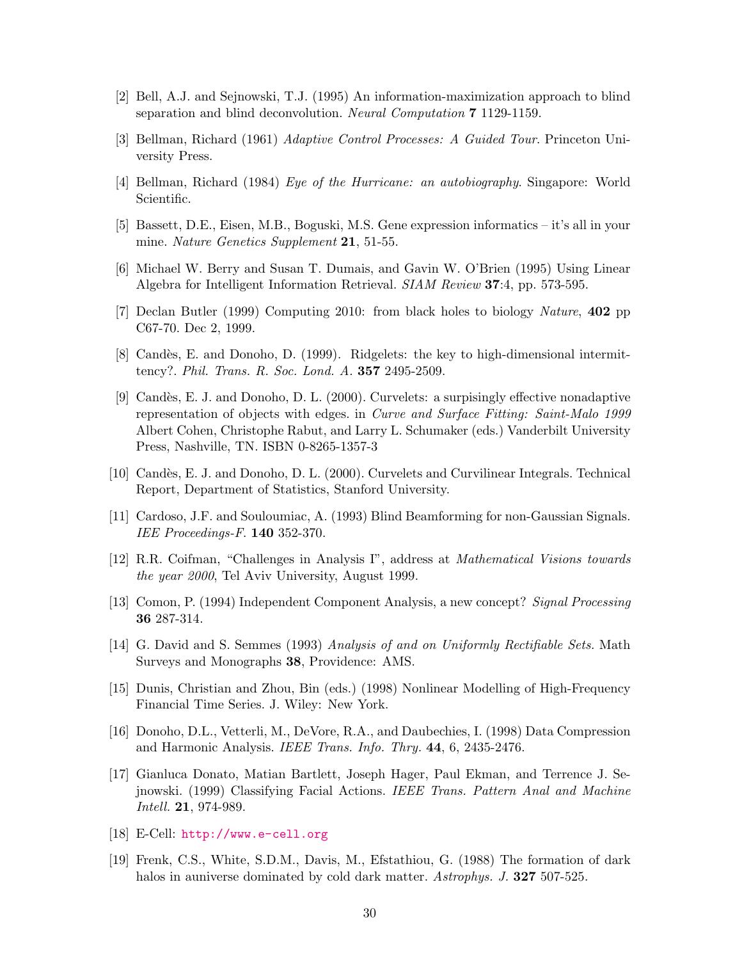- <span id="page-29-8"></span><span id="page-29-6"></span>[2] Bell, A.J. and Sejnowski, T.J. (1995) An information-maximization approach to blind separation and blind deconvolution. Neural Computation **7** 1129-1159.
- <span id="page-29-3"></span>[3] Bellman, Richard (1961) Adaptive Control Processes: A Guided Tour. Princeton University Press.
- <span id="page-29-2"></span>[4] Bellman, Richard (1984) *Eye of the Hurricane: an autobiography*. Singapore: World Scientific.
- <span id="page-29-1"></span>[5] Bassett, D.E., Eisen, M.B., Boguski, M.S. Gene expression informatics – it's all in your mine. Nature Genetics Supplement **21**, 51-55.
- <span id="page-29-12"></span>[6] Michael W. Berry and Susan T. Dumais, and Gavin W. O'Brien (1995) Using Linear Algebra for Intelligent Information Retrieval. SIAM Review **37**:4, pp. 573-595.
- <span id="page-29-13"></span>[7] Declan Butler (1999) Computing 2010: from black holes to biology Nature, **402** pp C67-70. Dec 2, 1999.
- [8] Cand`es, E. and Donoho, D. (1999). Ridgelets: the key to high-dimensional intermittency?. Phil. Trans. R. Soc. Lond. A. **357** 2495-2509.
- <span id="page-29-14"></span><span id="page-29-7"></span>[9] Cand`es, E. J. and Donoho, D. L. (2000). Curvelets: a surpisingly effective nonadaptive representation of objects with edges. in Curve and Surface Fitting: Saint-Malo 1999 Albert Cohen, Christophe Rabut, and Larry L. Schumaker (eds.) Vanderbilt University Press, Nashville, TN. ISBN 0-8265-1357-3
- <span id="page-29-11"></span>[10] Candès, E. J. and Donoho, D. L. (2000). Curvelets and Curvilinear Integrals. Technical Report, Department of Statistics, Stanford University.
- <span id="page-29-5"></span>[11] Cardoso, J.F. and Souloumiac, A. (1993) Blind Beamforming for non-Gaussian Signals. IEE Proceedings-F. **140** 352-370.
- <span id="page-29-16"></span>[12] R.R. Coifman, "Challenges in Analysis I", address at Mathematical Visions towards the year 2000, Tel Aviv University, August 1999.
- <span id="page-29-4"></span>[13] Comon, P. (1994) Independent Component Analysis, a new concept? Signal Processing **36** 287-314.
- <span id="page-29-9"></span>[14] G. David and S. Semmes (1993) Analysis of and on Uniformly Rectifiable Sets. Math Surveys and Monographs **38**, Providence: AMS.
- <span id="page-29-10"></span>[15] Dunis, Christian and Zhou, Bin (eds.) (1998) Nonlinear Modelling of High-Frequency Financial Time Series. J. Wiley: New York.
- <span id="page-29-0"></span>[16] Donoho, D.L., Vetterli, M., DeVore, R.A., and Daubechies, I. (1998) Data Compression and Harmonic Analysis. IEEE Trans. Info. Thry. **44**, 6, 2435-2476.
- <span id="page-29-15"></span>[17] Gianluca Donato, Matian Bartlett, Joseph Hager, Paul Ekman, and Terrence J. Sejnowski. (1999) Classifying Facial Actions. IEEE Trans. Pattern Anal and Machine Intell. **21**, 974-989.
- [18] E-Cell: [http://www.e-cell.org]( http://www.e-cell.org)
- [19] Frenk, C.S., White, S.D.M., Davis, M., Efstathiou, G. (1988) The formation of dark halos in auniverse dominated by cold dark matter. Astrophys. J. **327** 507-525.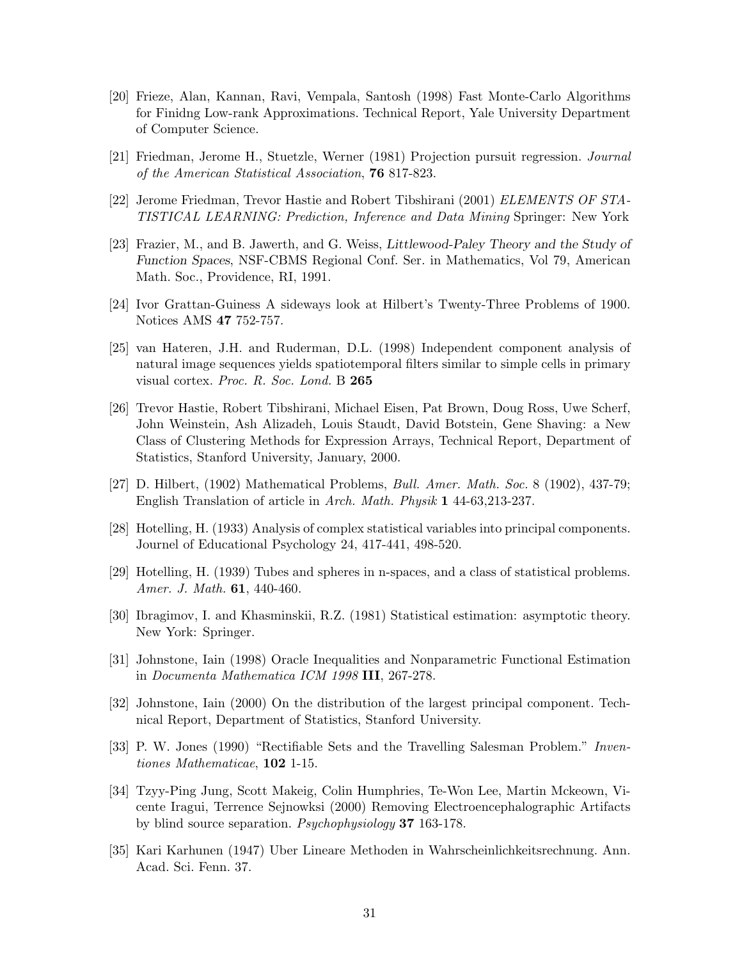- <span id="page-30-10"></span><span id="page-30-3"></span>[20] Frieze, Alan, Kannan, Ravi, Vempala, Santosh (1998) Fast Monte-Carlo Algorithms for Finidng Low-rank Approximations. Technical Report, Yale University Department of Computer Science.
- <span id="page-30-11"></span>[21] Friedman, Jerome H., Stuetzle, Werner (1981) Projection pursuit regression. Journal of the American Statistical Association, **76** 817-823.
- <span id="page-30-0"></span>[22] Jerome Friedman, Trevor Hastie and Robert Tibshirani (2001) ELEMENTS OF STA-TISTICAL LEARNING: Prediction, Inference and Data Mining Springer: New York
- <span id="page-30-12"></span>[23] Frazier, M., and B. Jawerth, and G. Weiss, *Littlewood-Paley Theory and the Study of Function Spaces*, NSF-CBMS Regional Conf. Ser. in Mathematics, Vol 79, American Math. Soc., Providence, RI, 1991.
- <span id="page-30-6"></span>[24] Ivor Grattan-Guiness A sideways look at Hilbert's Twenty-Three Problems of 1900. Notices AMS **47** 752-757.
- [25] van Hateren, J.H. and Ruderman, D.L. (1998) Independent component analysis of natural image sequences yields spatiotemporal filters similar to simple cells in primary visual cortex. Proc. R. Soc. Lond. B **265**
- <span id="page-30-4"></span><span id="page-30-1"></span>[26] Trevor Hastie, Robert Tibshirani, Michael Eisen, Pat Brown, Doug Ross, Uwe Scherf, John Weinstein, Ash Alizadeh, Louis Staudt, David Botstein, Gene Shaving: a New Class of Clustering Methods for Expression Arrays, Technical Report, Department of Statistics, Stanford University, January, 2000.
- [27] D. Hilbert, (1902) Mathematical Problems, Bull. Amer. Math. Soc. 8 (1902), 437-79; English Translation of article in Arch. Math. Physik **1** 44-63,213-237.
- <span id="page-30-7"></span>[28] Hotelling, H. (1933) Analysis of complex statistical variables into principal components. Journel of Educational Psychology 24, 417-441, 498-520.
- <span id="page-30-8"></span>[29] Hotelling, H. (1939) Tubes and spheres in n-spaces, and a class of statistical problems. Amer. J. Math. **61**, 440-460.
- <span id="page-30-9"></span>[30] Ibragimov, I. and Khasminskii, R.Z. (1981) Statistical estimation: asymptotic theory. New York: Springer.
- <span id="page-30-13"></span>[31] Johnstone, Iain (1998) Oracle Inequalities and Nonparametric Functional Estimation in Documenta Mathematica ICM 1998 **III**, 267-278.
- <span id="page-30-2"></span>[32] Johnstone, Iain (2000) On the distribution of the largest principal component. Technical Report, Department of Statistics, Stanford University.
- <span id="page-30-5"></span>[33] P. W. Jones (1990) "Rectifiable Sets and the Travelling Salesman Problem." Inventiones Mathematicae, **102** 1-15.
- [34] Tzyy-Ping Jung, Scott Makeig, Colin Humphries, Te-Won Lee, Martin Mckeown, Vicente Iragui, Terrence Sejnowksi (2000) Removing Electroencephalographic Artifacts by blind source separation. Psychophysiology **37** 163-178.
- [35] Kari Karhunen (1947) Uber Lineare Methoden in Wahrscheinlichkeitsrechnung. Ann. Acad. Sci. Fenn. 37.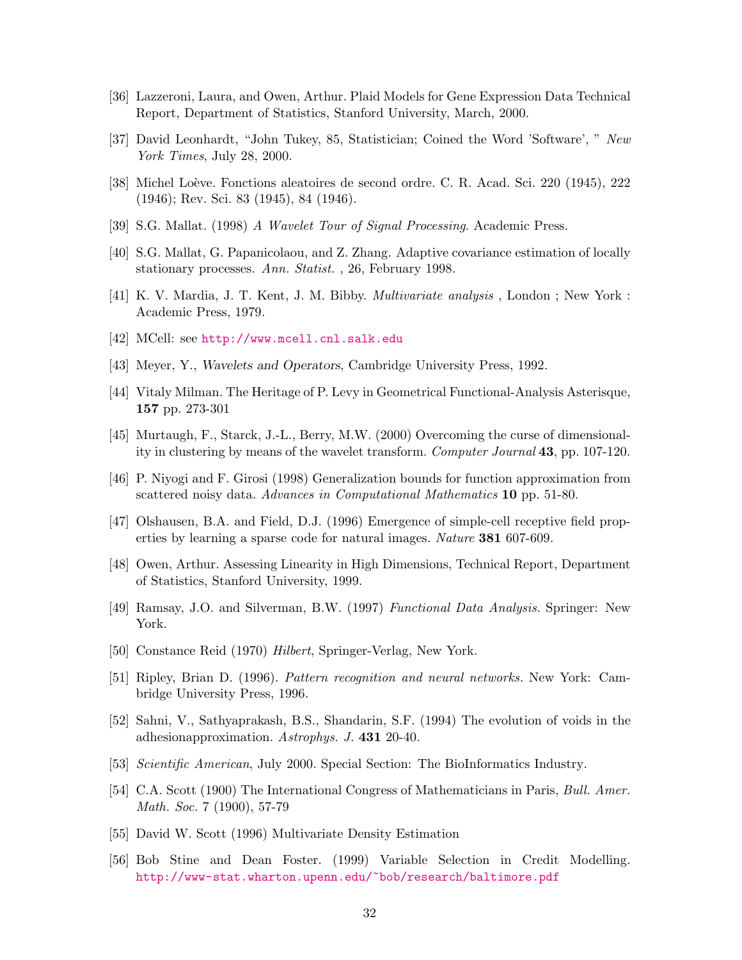- <span id="page-31-10"></span><span id="page-31-9"></span>[36] Lazzeroni, Laura, and Owen, Arthur. Plaid Models for Gene Expression Data Technical Report, Department of Statistics, Stanford University, March, 2000.
- <span id="page-31-12"></span>[37] David Leonhardt, "John Tukey, 85, Statistician; Coined the Word 'Software', " New York Times, July 28, 2000.
- <span id="page-31-13"></span><span id="page-31-7"></span>[38] Michel Loève. Fonctions aleatoires de second ordre. C. R. Acad. Sci. 220 (1945), 222 (1946); Rev. Sci. 83 (1945), 84 (1946).
- [39] S.G. Mallat. (1998) A Wavelet Tour of Signal Processing. Academic Press.
- <span id="page-31-15"></span><span id="page-31-3"></span>[40] S.G. Mallat, G. Papanicolaou, and Z. Zhang. Adaptive covariance estimation of locally stationary processes. Ann. Statist. , 26, February 1998.
- [41] K. V. Mardia, J. T. Kent, J. M. Bibby. Multivariate analysis , London ; New York : Academic Press, 1979.
- <span id="page-31-4"></span>[42] MCell: see <http://www.mcell.cnl.salk.edu>
- [43] Meyer, Y., *Wavelets and Operators*, Cambridge University Press, 1992.
- <span id="page-31-14"></span>[44] Vitaly Milman. The Heritage of P. Levy in Geometrical Functional-Analysis Asterisque, **157** pp. 273-301
- <span id="page-31-16"></span>[45] Murtaugh, F., Starck, J.-L., Berry, M.W. (2000) Overcoming the curse of dimensionality in clustering by means of the wavelet transform. Computer Journal **43**, pp. 107-120.
- <span id="page-31-11"></span>[46] P. Niyogi and F. Girosi (1998) Generalization bounds for function approximation from scattered noisy data. Advances in Computational Mathematics **10** pp. 51-80.
- [47] Olshausen, B.A. and Field, D.J. (1996) Emergence of simple-cell receptive field properties by learning a sparse code for natural images. Nature **381** 607-609.
- <span id="page-31-0"></span>[48] Owen, Arthur. Assessing Linearity in High Dimensions, Technical Report, Department of Statistics, Stanford University, 1999.
- <span id="page-31-8"></span>[49] Ramsay, J.O. and Silverman, B.W. (1997) Functional Data Analysis. Springer: New York.
- <span id="page-31-17"></span>[50] Constance Reid (1970) Hilbert, Springer-Verlag, New York.
- <span id="page-31-2"></span>[51] Ripley, Brian D. (1996). Pattern recognition and neural networks. New York: Cambridge University Press, 1996.
- <span id="page-31-1"></span>[52] Sahni, V., Sathyaprakash, B.S., Shandarin, S.F. (1994) The evolution of voids in the adhesionapproximation. Astrophys. J. **431** 20-40.
- <span id="page-31-6"></span>[53] Scientific American, July 2000. Special Section: The BioInformatics Industry.
- <span id="page-31-5"></span>[54] C.A. Scott (1900) The International Congress of Mathematicians in Paris, Bull. Amer. Math. Soc. 7 (1900), 57-79
- [55] David W. Scott (1996) Multivariate Density Estimation
- [56] Bob Stine and Dean Foster. (1999) Variable Selection in Credit [Modelling.](http://www-stat.wharton.upenn.edu/~bob/research/baltimore.pdf) http://www-stat.wharton.upenn.edu/~bob/research/baltimore.pdf